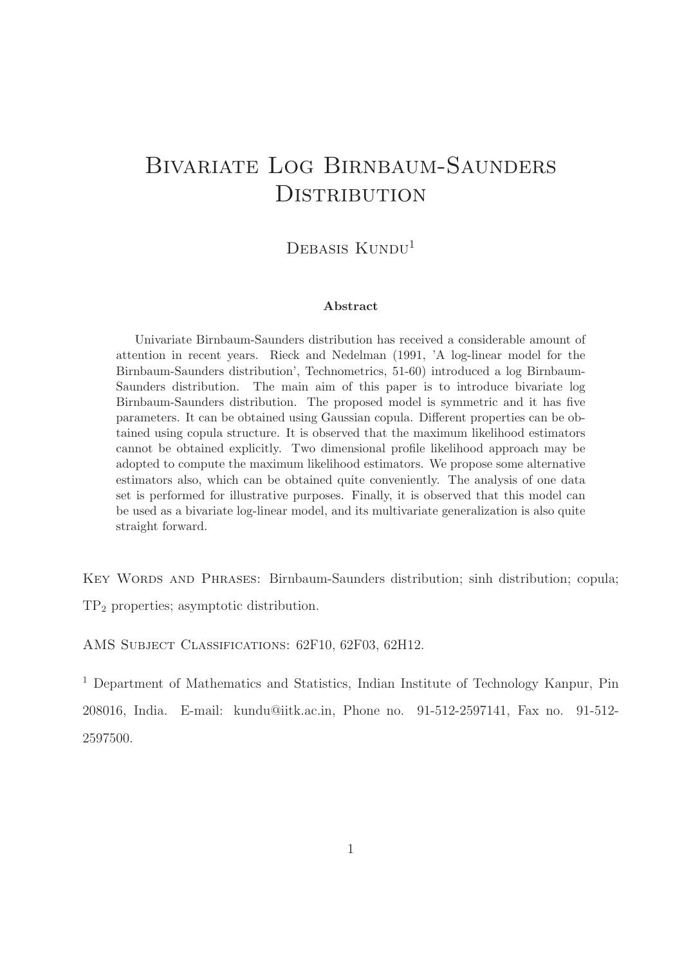# Bivariate Log Birnbaum-Saunders **DISTRIBUTION**

### DEBASIS KUNDU<sup>1</sup>

#### Abstract

Univariate Birnbaum-Saunders distribution has received a considerable amount of attention in recent years. Rieck and Nedelman (1991, 'A log-linear model for the Birnbaum-Saunders distribution', Technometrics, 51-60) introduced a log Birnbaum-Saunders distribution. The main aim of this paper is to introduce bivariate log Birnbaum-Saunders distribution. The proposed model is symmetric and it has five parameters. It can be obtained using Gaussian copula. Different properties can be obtained using copula structure. It is observed that the maximum likelihood estimators cannot be obtained explicitly. Two dimensional profile likelihood approach may be adopted to compute the maximum likelihood estimators. We propose some alternative estimators also, which can be obtained quite conveniently. The analysis of one data set is performed for illustrative purposes. Finally, it is observed that this model can be used as a bivariate log-linear model, and its multivariate generalization is also quite straight forward.

Key Words and Phrases: Birnbaum-Saunders distribution; sinh distribution; copula; TP<sup>2</sup> properties; asymptotic distribution.

AMS SUBJECT CLASSIFICATIONS: 62F10, 62F03, 62H12.

<sup>1</sup> Department of Mathematics and Statistics, Indian Institute of Technology Kanpur, Pin 208016, India. E-mail: kundu@iitk.ac.in, Phone no. 91-512-2597141, Fax no. 91-512- 2597500.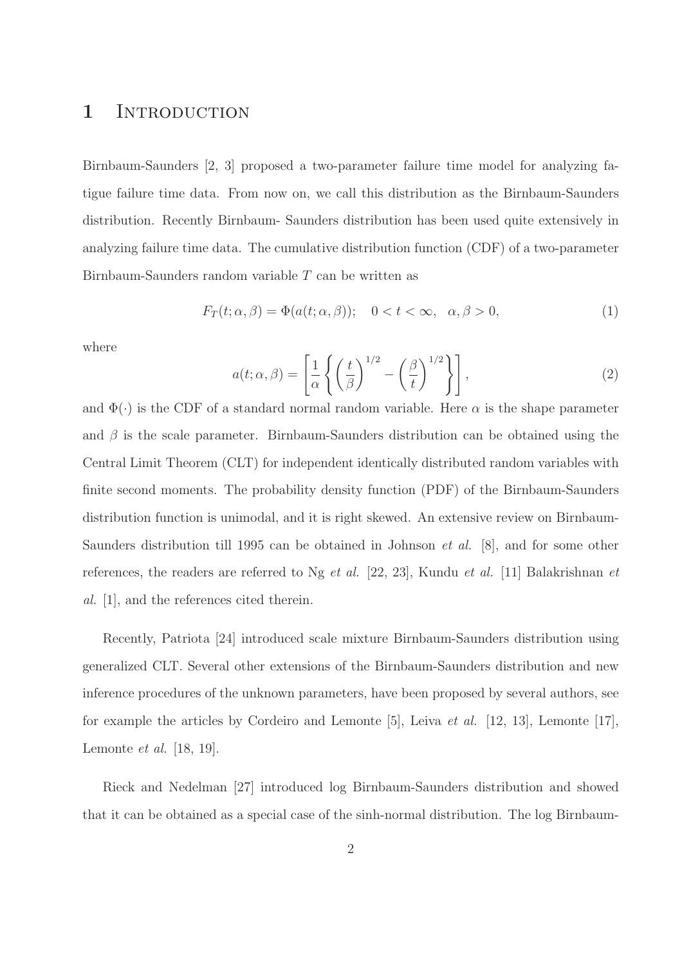### 1 INTRODUCTION

Birnbaum-Saunders [2, 3] proposed a two-parameter failure time model for analyzing fatigue failure time data. From now on, we call this distribution as the Birnbaum-Saunders distribution. Recently Birnbaum- Saunders distribution has been used quite extensively in analyzing failure time data. The cumulative distribution function (CDF) of a two-parameter Birnbaum-Saunders random variable T can be written as

$$
F_T(t; \alpha, \beta) = \Phi(a(t; \alpha, \beta)); \quad 0 < t < \infty, \quad \alpha, \beta > 0,\tag{1}
$$

where

$$
a(t; \alpha, \beta) = \left[\frac{1}{\alpha} \left\{ \left(\frac{t}{\beta}\right)^{1/2} - \left(\frac{\beta}{t}\right)^{1/2} \right\} \right],
$$
 (2)

and  $\Phi(\cdot)$  is the CDF of a standard normal random variable. Here  $\alpha$  is the shape parameter and  $\beta$  is the scale parameter. Birnbaum-Saunders distribution can be obtained using the Central Limit Theorem (CLT) for independent identically distributed random variables with finite second moments. The probability density function (PDF) of the Birnbaum-Saunders distribution function is unimodal, and it is right skewed. An extensive review on Birnbaum-Saunders distribution till 1995 can be obtained in Johnson et al. [8], and for some other references, the readers are referred to Ng et al. [22, 23], Kundu et al. [11] Balakrishnan et al. [1], and the references cited therein.

Recently, Patriota [24] introduced scale mixture Birnbaum-Saunders distribution using generalized CLT. Several other extensions of the Birnbaum-Saunders distribution and new inference procedures of the unknown parameters, have been proposed by several authors, see for example the articles by Cordeiro and Lemonte [5], Leiva et al. [12, 13], Lemonte [17], Lemonte et al. [18, 19].

Rieck and Nedelman [27] introduced log Birnbaum-Saunders distribution and showed that it can be obtained as a special case of the sinh-normal distribution. The log Birnbaum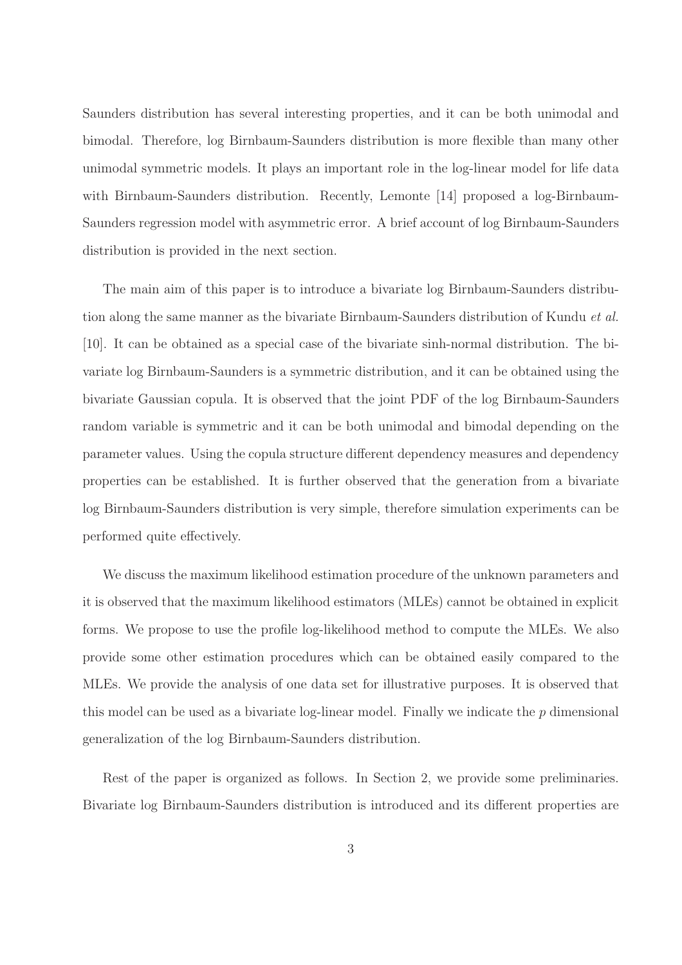Saunders distribution has several interesting properties, and it can be both unimodal and bimodal. Therefore, log Birnbaum-Saunders distribution is more flexible than many other unimodal symmetric models. It plays an important role in the log-linear model for life data with Birnbaum-Saunders distribution. Recently, Lemonte [14] proposed a log-Birnbaum-Saunders regression model with asymmetric error. A brief account of log Birnbaum-Saunders distribution is provided in the next section.

The main aim of this paper is to introduce a bivariate log Birnbaum-Saunders distribution along the same manner as the bivariate Birnbaum-Saunders distribution of Kundu et al. [10]. It can be obtained as a special case of the bivariate sinh-normal distribution. The bivariate log Birnbaum-Saunders is a symmetric distribution, and it can be obtained using the bivariate Gaussian copula. It is observed that the joint PDF of the log Birnbaum-Saunders random variable is symmetric and it can be both unimodal and bimodal depending on the parameter values. Using the copula structure different dependency measures and dependency properties can be established. It is further observed that the generation from a bivariate log Birnbaum-Saunders distribution is very simple, therefore simulation experiments can be performed quite effectively.

We discuss the maximum likelihood estimation procedure of the unknown parameters and it is observed that the maximum likelihood estimators (MLEs) cannot be obtained in explicit forms. We propose to use the profile log-likelihood method to compute the MLEs. We also provide some other estimation procedures which can be obtained easily compared to the MLEs. We provide the analysis of one data set for illustrative purposes. It is observed that this model can be used as a bivariate log-linear model. Finally we indicate the p dimensional generalization of the log Birnbaum-Saunders distribution.

Rest of the paper is organized as follows. In Section 2, we provide some preliminaries. Bivariate log Birnbaum-Saunders distribution is introduced and its different properties are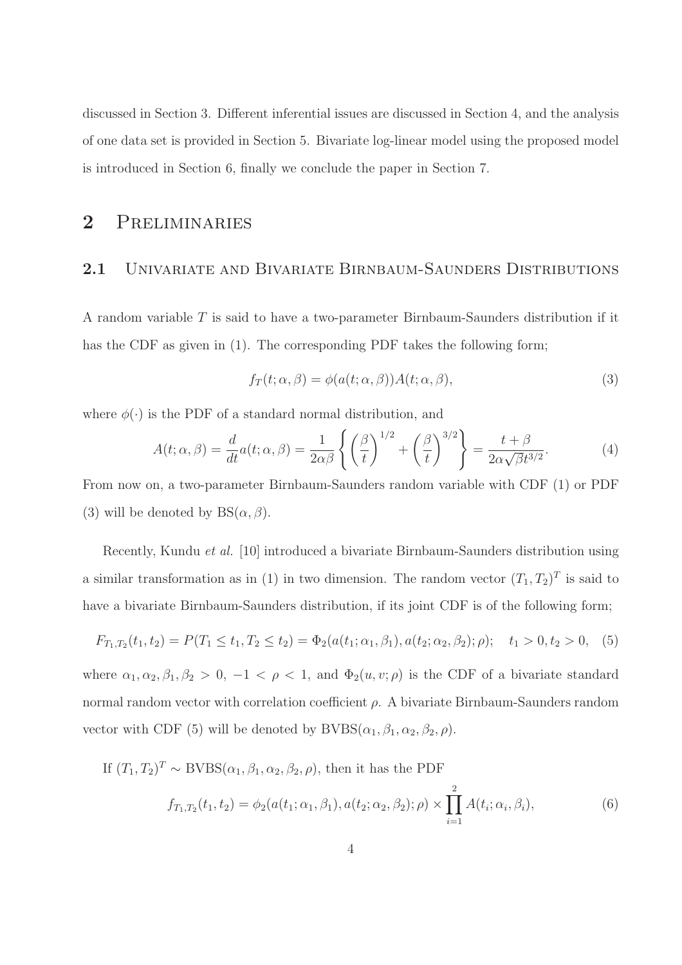discussed in Section 3. Different inferential issues are discussed in Section 4, and the analysis of one data set is provided in Section 5. Bivariate log-linear model using the proposed model is introduced in Section 6, finally we conclude the paper in Section 7.

# 2 Preliminaries

### 2.1 UNIVARIATE AND BIVARIATE BIRNBAUM-SAUNDERS DISTRIBUTIONS

A random variable T is said to have a two-parameter Birnbaum-Saunders distribution if it has the CDF as given in (1). The corresponding PDF takes the following form;

$$
f_T(t; \alpha, \beta) = \phi(a(t; \alpha, \beta))A(t; \alpha, \beta), \qquad (3)
$$

where  $\phi(\cdot)$  is the PDF of a standard normal distribution, and

$$
A(t; \alpha, \beta) = \frac{d}{dt} a(t; \alpha, \beta) = \frac{1}{2\alpha\beta} \left\{ \left(\frac{\beta}{t}\right)^{1/2} + \left(\frac{\beta}{t}\right)^{3/2} \right\} = \frac{t + \beta}{2\alpha\sqrt{\beta}t^{3/2}}.
$$
 (4)

From now on, a two-parameter Birnbaum-Saunders random variable with CDF (1) or PDF (3) will be denoted by  $BS(\alpha, \beta)$ .

Recently, Kundu et al. [10] introduced a bivariate Birnbaum-Saunders distribution using a similar transformation as in (1) in two dimension. The random vector  $(T_1, T_2)^T$  is said to have a bivariate Birnbaum-Saunders distribution, if its joint CDF is of the following form;

$$
F_{T_1,T_2}(t_1,t_2) = P(T_1 \le t_1, T_2 \le t_2) = \Phi_2(a(t_1;\alpha_1,\beta_1), a(t_2;\alpha_2,\beta_2); \rho); \quad t_1 > 0, t_2 > 0,
$$
 (5)

where  $\alpha_1, \alpha_2, \beta_1, \beta_2 > 0, -1 < \rho < 1$ , and  $\Phi_2(u, v; \rho)$  is the CDF of a bivariate standard normal random vector with correlation coefficient  $ρ$ . A bivariate Birnbaum-Saunders random vector with CDF (5) will be denoted by  $\text{BVBS}(\alpha_1, \beta_1, \alpha_2, \beta_2, \rho)$ .

If  $(T_1, T_2)^T \sim \text{BVBS}(\alpha_1, \beta_1, \alpha_2, \beta_2, \rho)$ , then it has the PDF

$$
f_{T_1,T_2}(t_1,t_2) = \phi_2(a(t_1;\alpha_1,\beta_1), a(t_2;\alpha_2,\beta_2); \rho) \times \prod_{i=1}^2 A(t_i;\alpha_i,\beta_i), \tag{6}
$$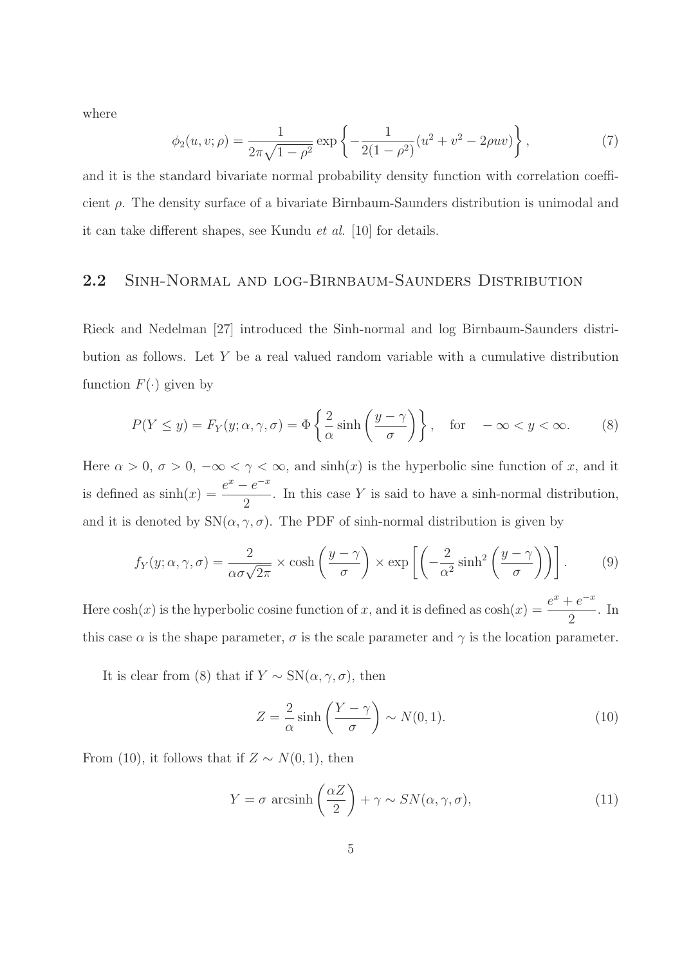where

$$
\phi_2(u, v; \rho) = \frac{1}{2\pi\sqrt{1 - \rho^2}} \exp\left\{-\frac{1}{2(1 - \rho^2)}(u^2 + v^2 - 2\rho uv)\right\},\tag{7}
$$

and it is the standard bivariate normal probability density function with correlation coefficient  $\rho$ . The density surface of a bivariate Birnbaum-Saunders distribution is unimodal and it can take different shapes, see Kundu et al. [10] for details.

#### 2.2 Sinh-Normal and log-Birnbaum-Saunders Distribution

Rieck and Nedelman [27] introduced the Sinh-normal and log Birnbaum-Saunders distribution as follows. Let Y be a real valued random variable with a cumulative distribution function  $F(\cdot)$  given by

$$
P(Y \le y) = F_Y(y; \alpha, \gamma, \sigma) = \Phi\left\{\frac{2}{\alpha}\sinh\left(\frac{y - \gamma}{\sigma}\right)\right\}, \quad \text{for } \quad -\infty < y < \infty. \tag{8}
$$

Here  $\alpha > 0$ ,  $\sigma > 0$ ,  $-\infty < \gamma < \infty$ , and  $\sinh(x)$  is the hyperbolic sine function of x, and it is defined as  $sinh(x) = \frac{e^x - e^{-x}}{2}$ 2 . In this case Y is said to have a sinh-normal distribution, and it is denoted by  $SN(\alpha, \gamma, \sigma)$ . The PDF of sinh-normal distribution is given by

$$
f_Y(y; \alpha, \gamma, \sigma) = \frac{2}{\alpha \sigma \sqrt{2\pi}} \times \cosh\left(\frac{y - \gamma}{\sigma}\right) \times \exp\left[\left(-\frac{2}{\alpha^2} \sinh^2\left(\frac{y - \gamma}{\sigma}\right)\right)\right].
$$
 (9)

Here  $\cosh(x)$  is the hyperbolic cosine function of x, and it is defined as  $\cosh(x) = \frac{e^x + e^{-x}}{2}$ 2 . In this case  $\alpha$  is the shape parameter,  $\sigma$  is the scale parameter and  $\gamma$  is the location parameter.

It is clear from (8) that if  $Y \sim SN(\alpha, \gamma, \sigma)$ , then

$$
Z = \frac{2}{\alpha} \sinh\left(\frac{Y - \gamma}{\sigma}\right) \sim N(0, 1). \tag{10}
$$

From (10), it follows that if  $Z \sim N(0, 1)$ , then

$$
Y = \sigma \, \arcsinh\left(\frac{\alpha Z}{2}\right) + \gamma \sim SN(\alpha, \gamma, \sigma),\tag{11}
$$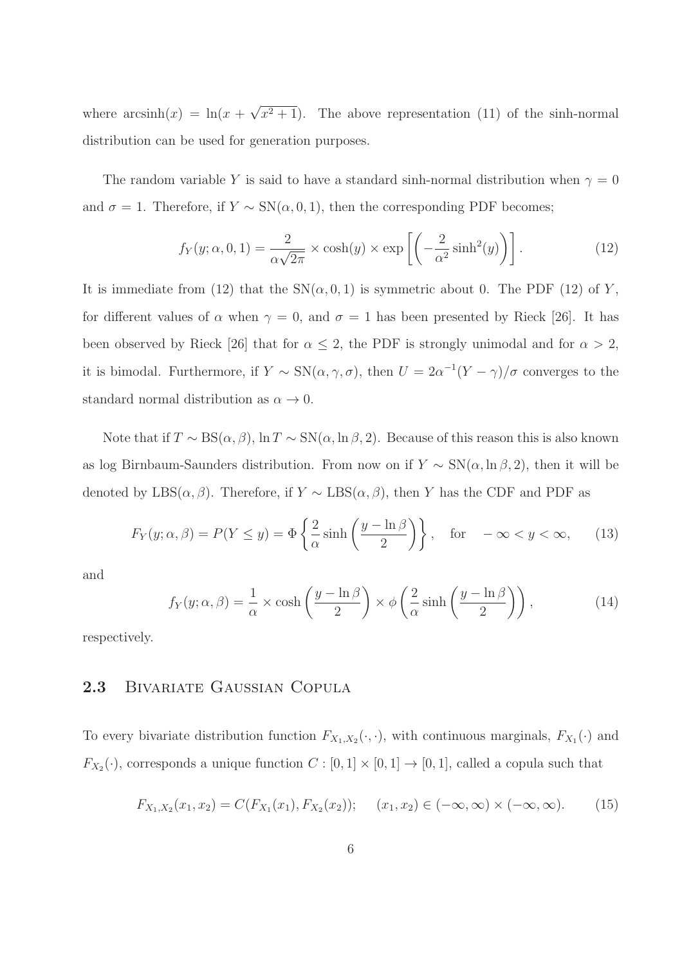where  $arcsinh(x) = ln(x + \sqrt{x^2 + 1})$ . The above representation (11) of the sinh-normal distribution can be used for generation purposes.

The random variable Y is said to have a standard sinh-normal distribution when  $\gamma = 0$ and  $\sigma = 1$ . Therefore, if  $Y \sim SN(\alpha, 0, 1)$ , then the corresponding PDF becomes;

$$
f_Y(y; \alpha, 0, 1) = \frac{2}{\alpha \sqrt{2\pi}} \times \cosh(y) \times \exp\left[ \left( -\frac{2}{\alpha^2} \sinh^2(y) \right) \right]. \tag{12}
$$

It is immediate from (12) that the  $SN(\alpha, 0, 1)$  is symmetric about 0. The PDF (12) of Y, for different values of  $\alpha$  when  $\gamma = 0$ , and  $\sigma = 1$  has been presented by Rieck [26]. It has been observed by Rieck [26] that for  $\alpha \leq 2$ , the PDF is strongly unimodal and for  $\alpha > 2$ , it is bimodal. Furthermore, if  $Y \sim SN(\alpha, \gamma, \sigma)$ , then  $U = 2\alpha^{-1}(Y - \gamma)/\sigma$  converges to the standard normal distribution as  $\alpha \to 0$ .

Note that if  $T \sim BS(\alpha, \beta)$ ,  $\ln T \sim SN(\alpha, \ln \beta, 2)$ . Because of this reason this is also known as log Birnbaum-Saunders distribution. From now on if  $Y \sim SN(\alpha, \ln \beta, 2)$ , then it will be denoted by LBS( $\alpha$ ,  $\beta$ ). Therefore, if Y ~ LBS( $\alpha$ ,  $\beta$ ), then Y has the CDF and PDF as

$$
F_Y(y; \alpha, \beta) = P(Y \le y) = \Phi\left\{\frac{2}{\alpha}\sinh\left(\frac{y - \ln \beta}{2}\right)\right\}, \quad \text{for} \quad -\infty < y < \infty,\tag{13}
$$

and

$$
f_Y(y; \alpha, \beta) = \frac{1}{\alpha} \times \cosh\left(\frac{y - \ln \beta}{2}\right) \times \phi\left(\frac{2}{\alpha} \sinh\left(\frac{y - \ln \beta}{2}\right)\right),\tag{14}
$$

respectively.

#### 2.3 Bivariate Gaussian Copula

To every bivariate distribution function  $F_{X_1,X_2}(\cdot,\cdot)$ , with continuous marginals,  $F_{X_1}(\cdot)$  and  $F_{X_2}(\cdot)$ , corresponds a unique function  $C : [0,1] \times [0,1] \rightarrow [0,1]$ , called a copula such that

$$
F_{X_1,X_2}(x_1,x_2) = C(F_{X_1}(x_1), F_{X_2}(x_2)); \quad (x_1,x_2) \in (-\infty,\infty) \times (-\infty,\infty). \tag{15}
$$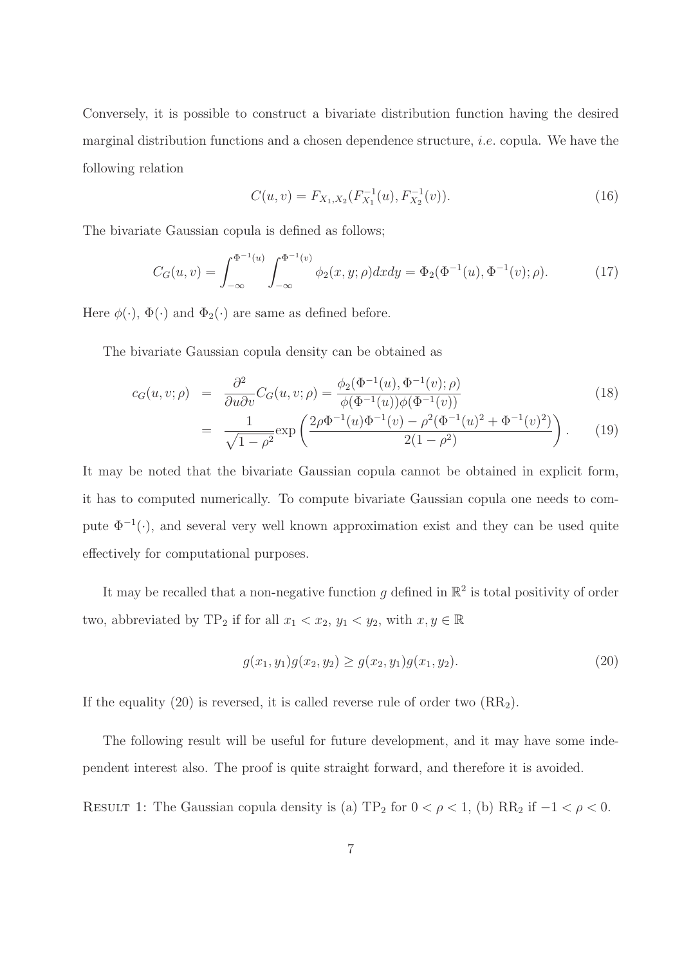Conversely, it is possible to construct a bivariate distribution function having the desired marginal distribution functions and a chosen dependence structure, i.e. copula. We have the following relation

$$
C(u, v) = F_{X_1, X_2}(F_{X_1}^{-1}(u), F_{X_2}^{-1}(v)).
$$
\n(16)

The bivariate Gaussian copula is defined as follows;

$$
C_G(u,v) = \int_{-\infty}^{\Phi^{-1}(u)} \int_{-\infty}^{\Phi^{-1}(v)} \phi_2(x,y;\rho) dx dy = \Phi_2(\Phi^{-1}(u), \Phi^{-1}(v); \rho).
$$
 (17)

Here  $\phi(\cdot)$ ,  $\Phi(\cdot)$  and  $\Phi_2(\cdot)$  are same as defined before.

The bivariate Gaussian copula density can be obtained as

$$
c_G(u, v; \rho) = \frac{\partial^2}{\partial u \partial v} C_G(u, v; \rho) = \frac{\phi_2(\Phi^{-1}(u), \Phi^{-1}(v); \rho)}{\phi(\Phi^{-1}(u))\phi(\Phi^{-1}(v))}
$$
(18)

$$
= \frac{1}{\sqrt{1-\rho^2}} \exp\left(\frac{2\rho\Phi^{-1}(u)\Phi^{-1}(v) - \rho^2(\Phi^{-1}(u)^2 + \Phi^{-1}(v)^2)}{2(1-\rho^2)}\right). \tag{19}
$$

It may be noted that the bivariate Gaussian copula cannot be obtained in explicit form, it has to computed numerically. To compute bivariate Gaussian copula one needs to compute  $\Phi^{-1}(\cdot)$ , and several very well known approximation exist and they can be used quite effectively for computational purposes.

It may be recalled that a non-negative function g defined in  $\mathbb{R}^2$  is total positivity of order two, abbreviated by TP<sub>2</sub> if for all  $x_1 < x_2, y_1 < y_2$ , with  $x, y \in \mathbb{R}$ 

$$
g(x_1, y_1)g(x_2, y_2) \ge g(x_2, y_1)g(x_1, y_2). \tag{20}
$$

If the equality (20) is reversed, it is called reverse rule of order two  $(RR_2)$ .

The following result will be useful for future development, and it may have some independent interest also. The proof is quite straight forward, and therefore it is avoided.

RESULT 1: The Gaussian copula density is (a) TP<sub>2</sub> for  $0 < \rho < 1$ , (b) RR<sub>2</sub> if  $-1 < \rho < 0$ .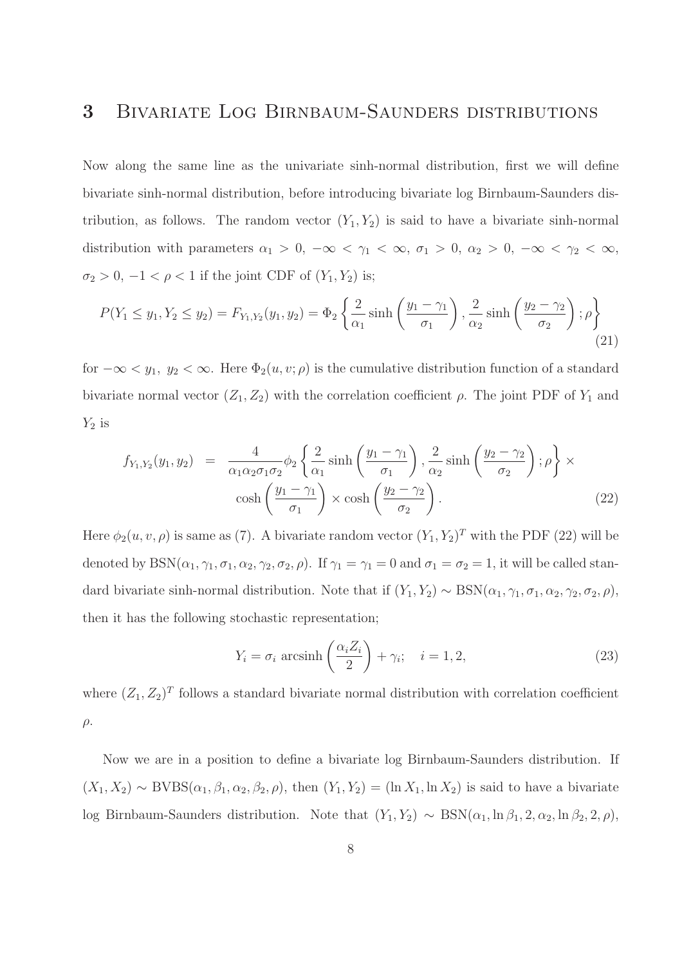# 3 Bivariate Log Birnbaum-Saunders distributions

Now along the same line as the univariate sinh-normal distribution, first we will define bivariate sinh-normal distribution, before introducing bivariate log Birnbaum-Saunders distribution, as follows. The random vector  $(Y_1, Y_2)$  is said to have a bivariate sinh-normal distribution with parameters  $\alpha_1 > 0$ ,  $-\infty < \gamma_1 < \infty$ ,  $\sigma_1 > 0$ ,  $\alpha_2 > 0$ ,  $-\infty < \gamma_2 < \infty$ ,  $\sigma_2 > 0, -1 < \rho < 1$  if the joint CDF of  $(Y_1, Y_2)$  is;

$$
P(Y_1 \le y_1, Y_2 \le y_2) = F_{Y_1, Y_2}(y_1, y_2) = \Phi_2 \left\{ \frac{2}{\alpha_1} \sinh\left(\frac{y_1 - \gamma_1}{\sigma_1}\right), \frac{2}{\alpha_2} \sinh\left(\frac{y_2 - \gamma_2}{\sigma_2}\right); \rho \right\}
$$
(21)

for  $-\infty < y_1, y_2 < \infty$ . Here  $\Phi_2(u, v; \rho)$  is the cumulative distribution function of a standard bivariate normal vector  $(Z_1, Z_2)$  with the correlation coefficient  $\rho$ . The joint PDF of  $Y_1$  and  $Y_2$  is

$$
f_{Y_1,Y_2}(y_1, y_2) = \frac{4}{\alpha_1 \alpha_2 \sigma_1 \sigma_2} \phi_2 \left\{ \frac{2}{\alpha_1} \sinh\left(\frac{y_1 - \gamma_1}{\sigma_1}\right), \frac{2}{\alpha_2} \sinh\left(\frac{y_2 - \gamma_2}{\sigma_2}\right); \rho \right\} \times \cosh\left(\frac{y_1 - \gamma_1}{\sigma_1}\right) \times \cosh\left(\frac{y_2 - \gamma_2}{\sigma_2}\right).
$$
 (22)

Here  $\phi_2(u, v, \rho)$  is same as (7). A bivariate random vector  $(Y_1, Y_2)^T$  with the PDF (22) will be denoted by  $BSN(\alpha_1, \gamma_1, \sigma_1, \alpha_2, \gamma_2, \sigma_2, \rho)$ . If  $\gamma_1 = \gamma_1 = 0$  and  $\sigma_1 = \sigma_2 = 1$ , it will be called standard bivariate sinh-normal distribution. Note that if  $(Y_1, Y_2) \sim \text{BSN}(\alpha_1, \gamma_1, \sigma_1, \alpha_2, \gamma_2, \sigma_2, \rho)$ , then it has the following stochastic representation;

$$
Y_i = \sigma_i \operatorname{arcsinh}\left(\frac{\alpha_i Z_i}{2}\right) + \gamma_i; \quad i = 1, 2,
$$
\n(23)

where  $(Z_1, Z_2)^T$  follows a standard bivariate normal distribution with correlation coefficient  $\rho$ .

Now we are in a position to define a bivariate log Birnbaum-Saunders distribution. If  $(X_1, X_2) \sim \text{BVBS}(\alpha_1, \beta_1, \alpha_2, \beta_2, \rho)$ , then  $(Y_1, Y_2) = (\ln X_1, \ln X_2)$  is said to have a bivariate log Birnbaum-Saunders distribution. Note that  $(Y_1, Y_2) \sim \text{BSN}(\alpha_1, \ln \beta_1, 2, \alpha_2, \ln \beta_2, 2, \rho)$ ,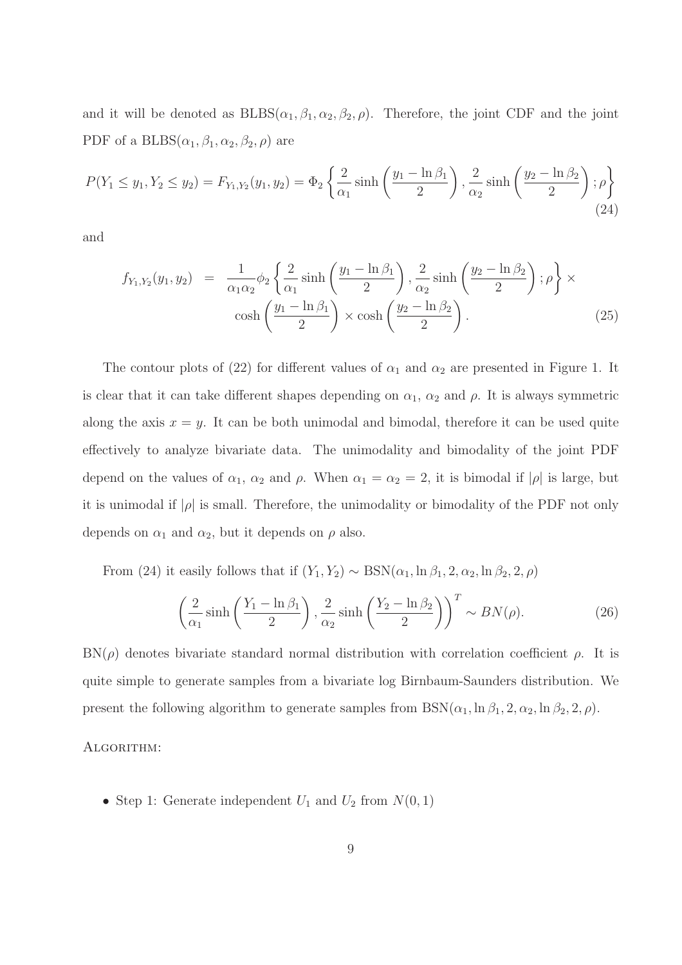and it will be denoted as  $BLES(\alpha_1, \beta_1, \alpha_2, \beta_2, \rho)$ . Therefore, the joint CDF and the joint PDF of a BLBS $(\alpha_1, \beta_1, \alpha_2, \beta_2, \rho)$  are

$$
P(Y_1 \le y_1, Y_2 \le y_2) = F_{Y_1, Y_2}(y_1, y_2) = \Phi_2 \left\{ \frac{2}{\alpha_1} \sinh\left(\frac{y_1 - \ln \beta_1}{2}\right), \frac{2}{\alpha_2} \sinh\left(\frac{y_2 - \ln \beta_2}{2}\right); \rho \right\}
$$
(24)

and

$$
f_{Y_1,Y_2}(y_1, y_2) = \frac{1}{\alpha_1 \alpha_2} \phi_2 \left\{ \frac{2}{\alpha_1} \sinh\left(\frac{y_1 - \ln \beta_1}{2}\right), \frac{2}{\alpha_2} \sinh\left(\frac{y_2 - \ln \beta_2}{2}\right); \rho \right\} \times \cosh\left(\frac{y_1 - \ln \beta_1}{2}\right) \times \cosh\left(\frac{y_2 - \ln \beta_2}{2}\right). \tag{25}
$$

The contour plots of (22) for different values of  $\alpha_1$  and  $\alpha_2$  are presented in Figure 1. It is clear that it can take different shapes depending on  $\alpha_1$ ,  $\alpha_2$  and  $\rho$ . It is always symmetric along the axis  $x = y$ . It can be both unimodal and bimodal, therefore it can be used quite effectively to analyze bivariate data. The unimodality and bimodality of the joint PDF depend on the values of  $\alpha_1$ ,  $\alpha_2$  and  $\rho$ . When  $\alpha_1 = \alpha_2 = 2$ , it is bimodal if  $|\rho|$  is large, but it is unimodal if  $|\rho|$  is small. Therefore, the unimodality or bimodality of the PDF not only depends on  $\alpha_1$  and  $\alpha_2$ , but it depends on  $\rho$  also.

From (24) it easily follows that if  $(Y_1, Y_2) \sim \text{BSN}(\alpha_1, \ln \beta_1, 2, \alpha_2, \ln \beta_2, 2, \rho)$ 

$$
\left(\frac{2}{\alpha_1}\sinh\left(\frac{Y_1 - \ln \beta_1}{2}\right), \frac{2}{\alpha_2}\sinh\left(\frac{Y_2 - \ln \beta_2}{2}\right)\right)^T \sim BN(\rho). \tag{26}
$$

 $BN(\rho)$  denotes bivariate standard normal distribution with correlation coefficient  $\rho$ . It is quite simple to generate samples from a bivariate log Birnbaum-Saunders distribution. We present the following algorithm to generate samples from  $BSN(\alpha_1, \ln \beta_1, 2, \alpha_2, \ln \beta_2, 2, \rho)$ .

#### ALGORITHM:

• Step 1: Generate independent  $U_1$  and  $U_2$  from  $N(0, 1)$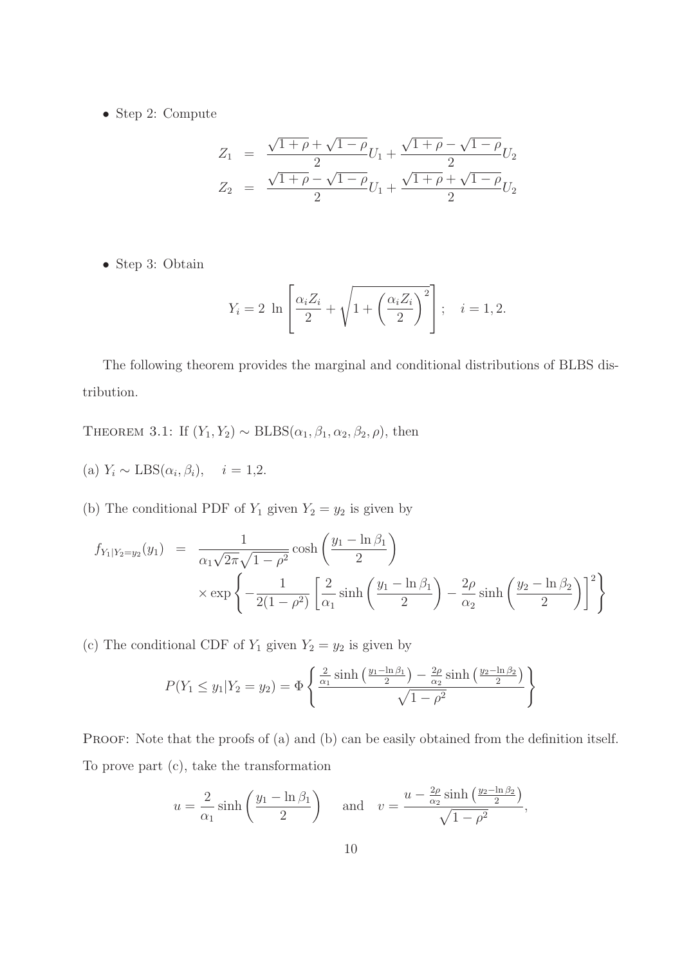• Step 2: Compute

$$
Z_1 = \frac{\sqrt{1+\rho} + \sqrt{1-\rho}}{2}U_1 + \frac{\sqrt{1+\rho} - \sqrt{1-\rho}}{2}U_2
$$
  

$$
Z_2 = \frac{\sqrt{1+\rho} - \sqrt{1-\rho}}{2}U_1 + \frac{\sqrt{1+\rho} + \sqrt{1-\rho}}{2}U_2
$$

• Step 3: Obtain

$$
Y_i = 2 \ln \left[ \frac{\alpha_i Z_i}{2} + \sqrt{1 + \left( \frac{\alpha_i Z_i}{2} \right)^2} \right]; \quad i = 1, 2.
$$

The following theorem provides the marginal and conditional distributions of BLBS distribution.

THEOREM 3.1: If  $(Y_1, Y_2) \sim \text{BLBS}(\alpha_1, \beta_1, \alpha_2, \beta_2, \rho)$ , then

(a)  $Y_i \sim \text{LBS}(\alpha_i, \beta_i), \quad i = 1, 2.$ 

(b) The conditional PDF of  $Y_1$  given  $Y_2 = y_2$  is given by

$$
f_{Y_1|Y_2=y_2}(y_1) = \frac{1}{\alpha_1\sqrt{2\pi}\sqrt{1-\rho^2}}\cosh\left(\frac{y_1-\ln\beta_1}{2}\right)
$$

$$
\times \exp\left\{-\frac{1}{2(1-\rho^2)}\left[\frac{2}{\alpha_1}\sinh\left(\frac{y_1-\ln\beta_1}{2}\right)-\frac{2\rho}{\alpha_2}\sinh\left(\frac{y_2-\ln\beta_2}{2}\right)\right]^2\right\}
$$

(c) The conditional CDF of  $Y_1$  given  $Y_2 = y_2$  is given by

$$
P(Y_1 \le y_1 | Y_2 = y_2) = \Phi\left\{\frac{\frac{2}{\alpha_1} \sinh\left(\frac{y_1 - \ln \beta_1}{2}\right) - \frac{2\rho}{\alpha_2} \sinh\left(\frac{y_2 - \ln \beta_2}{2}\right)}{\sqrt{1 - \rho^2}}\right\}
$$

PROOF: Note that the proofs of (a) and (b) can be easily obtained from the definition itself. To prove part (c), take the transformation

$$
u = \frac{2}{\alpha_1} \sinh\left(\frac{y_1 - \ln \beta_1}{2}\right) \quad \text{and} \quad v = \frac{u - \frac{2\rho}{\alpha_2} \sinh\left(\frac{y_2 - \ln \beta_2}{2}\right)}{\sqrt{1 - \rho^2}},
$$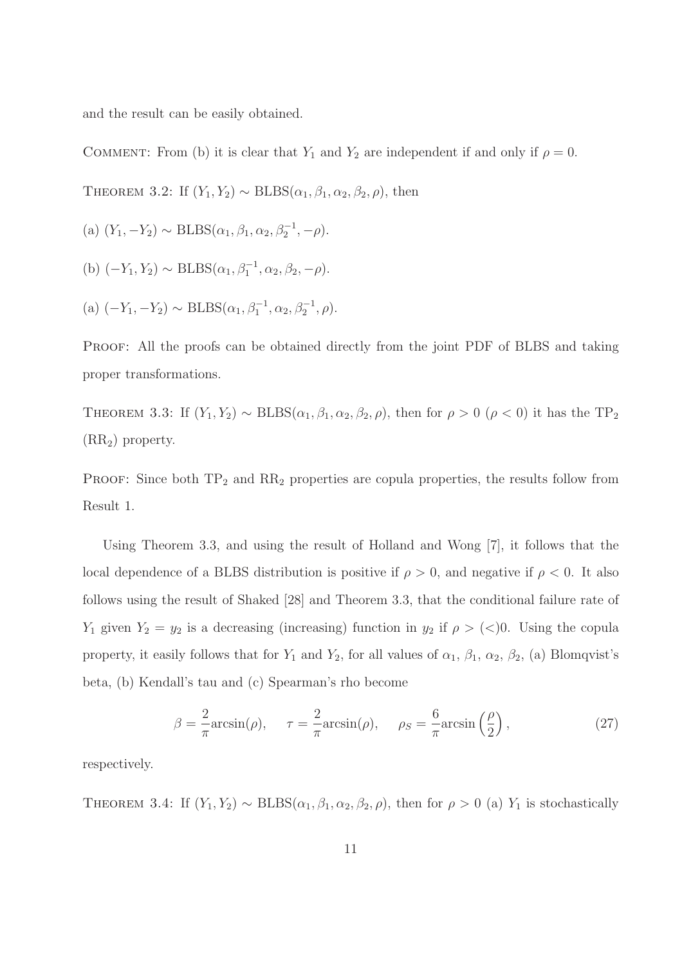and the result can be easily obtained.

COMMENT: From (b) it is clear that  $Y_1$  and  $Y_2$  are independent if and only if  $\rho = 0$ .

THEOREM 3.2: If  $(Y_1, Y_2) \sim \text{BLBS}(\alpha_1, \beta_1, \alpha_2, \beta_2, \rho)$ , then

(a) 
$$
(Y_1, -Y_2) \sim \text{BLBS}(\alpha_1, \beta_1, \alpha_2, \beta_2^{-1}, -\rho).
$$

(b) 
$$
(-Y_1, Y_2) \sim \text{BLBS}(\alpha_1, \beta_1^{-1}, \alpha_2, \beta_2, -\rho).
$$

(a) 
$$
(-Y_1, -Y_2) \sim \text{BLBS}(\alpha_1, \beta_1^{-1}, \alpha_2, \beta_2^{-1}, \rho).
$$

PROOF: All the proofs can be obtained directly from the joint PDF of BLBS and taking proper transformations.

THEOREM 3.3: If  $(Y_1, Y_2) \sim \text{BLBS}(\alpha_1, \beta_1, \alpha_2, \beta_2, \rho)$ , then for  $\rho > 0$  ( $\rho < 0$ ) it has the TP<sub>2</sub> (RR2) property.

PROOF: Since both  $TP_2$  and  $RR_2$  properties are copula properties, the results follow from Result 1.

Using Theorem 3.3, and using the result of Holland and Wong [7], it follows that the local dependence of a BLBS distribution is positive if  $\rho > 0$ , and negative if  $\rho < 0$ . It also follows using the result of Shaked [28] and Theorem 3.3, that the conditional failure rate of  $Y_1$  given  $Y_2 = y_2$  is a decreasing (increasing) function in  $y_2$  if  $\rho > (<)0$ . Using the copula property, it easily follows that for  $Y_1$  and  $Y_2$ , for all values of  $\alpha_1$ ,  $\beta_1$ ,  $\alpha_2$ ,  $\beta_2$ , (a) Blomqvist's beta, (b) Kendall's tau and (c) Spearman's rho become

$$
\beta = \frac{2}{\pi} \arcsin(\rho), \quad \tau = \frac{2}{\pi} \arcsin(\rho), \quad \rho_S = \frac{6}{\pi} \arcsin\left(\frac{\rho}{2}\right), \tag{27}
$$

respectively.

THEOREM 3.4: If  $(Y_1, Y_2) \sim \text{BLBS}(\alpha_1, \beta_1, \alpha_2, \beta_2, \rho)$ , then for  $\rho > 0$  (a)  $Y_1$  is stochastically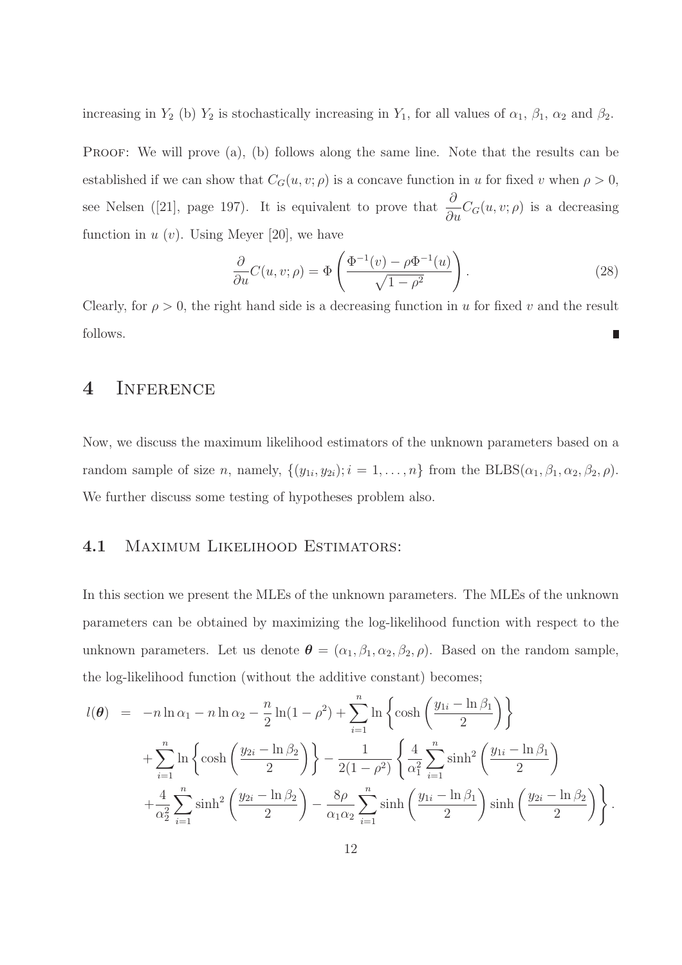increasing in  $Y_2$  (b)  $Y_2$  is stochastically increasing in  $Y_1$ , for all values of  $\alpha_1$ ,  $\beta_1$ ,  $\alpha_2$  and  $\beta_2$ .

PROOF: We will prove (a), (b) follows along the same line. Note that the results can be established if we can show that  $C_G(u, v; \rho)$  is a concave function in u for fixed v when  $\rho > 0$ , see Nelsen ([21], page 197). It is equivalent to prove that  $\frac{\partial}{\partial \theta}$  $\frac{\partial}{\partial u}C_G(u, v; \rho)$  is a decreasing function in  $u(v)$ . Using Meyer [20], we have

$$
\frac{\partial}{\partial u}C(u,v;\rho) = \Phi\left(\frac{\Phi^{-1}(v) - \rho\Phi^{-1}(u)}{\sqrt{1 - \rho^2}}\right).
$$
\n(28)

Clearly, for  $\rho > 0$ , the right hand side is a decreasing function in u for fixed v and the result follows. П

### 4 Inference

Now, we discuss the maximum likelihood estimators of the unknown parameters based on a random sample of size *n*, namely,  $\{(y_{1i}, y_{2i})$ ;  $i = 1, ..., n\}$  from the  $BLEBS(\alpha_1, \beta_1, \alpha_2, \beta_2, \rho)$ . We further discuss some testing of hypotheses problem also.

#### 4.1 Maximum Likelihood Estimators:

In this section we present the MLEs of the unknown parameters. The MLEs of the unknown parameters can be obtained by maximizing the log-likelihood function with respect to the unknown parameters. Let us denote  $\boldsymbol{\theta} = (\alpha_1, \beta_1, \alpha_2, \beta_2, \rho)$ . Based on the random sample, the log-likelihood function (without the additive constant) becomes;

$$
l(\theta) = -n \ln \alpha_1 - n \ln \alpha_2 - \frac{n}{2} \ln(1 - \rho^2) + \sum_{i=1}^n \ln \left\{ \cosh \left( \frac{y_{1i} - \ln \beta_1}{2} \right) \right\} + \sum_{i=1}^n \ln \left\{ \cosh \left( \frac{y_{2i} - \ln \beta_2}{2} \right) \right\} - \frac{1}{2(1 - \rho^2)} \left\{ \frac{4}{\alpha_1^2} \sum_{i=1}^n \sinh^2 \left( \frac{y_{1i} - \ln \beta_1}{2} \right) + \frac{4}{\alpha_2^2} \sum_{i=1}^n \sinh^2 \left( \frac{y_{2i} - \ln \beta_2}{2} \right) - \frac{8\rho}{\alpha_1 \alpha_2} \sum_{i=1}^n \sinh \left( \frac{y_{1i} - \ln \beta_1}{2} \right) \sinh \left( \frac{y_{2i} - \ln \beta_2}{2} \right) \right\}.
$$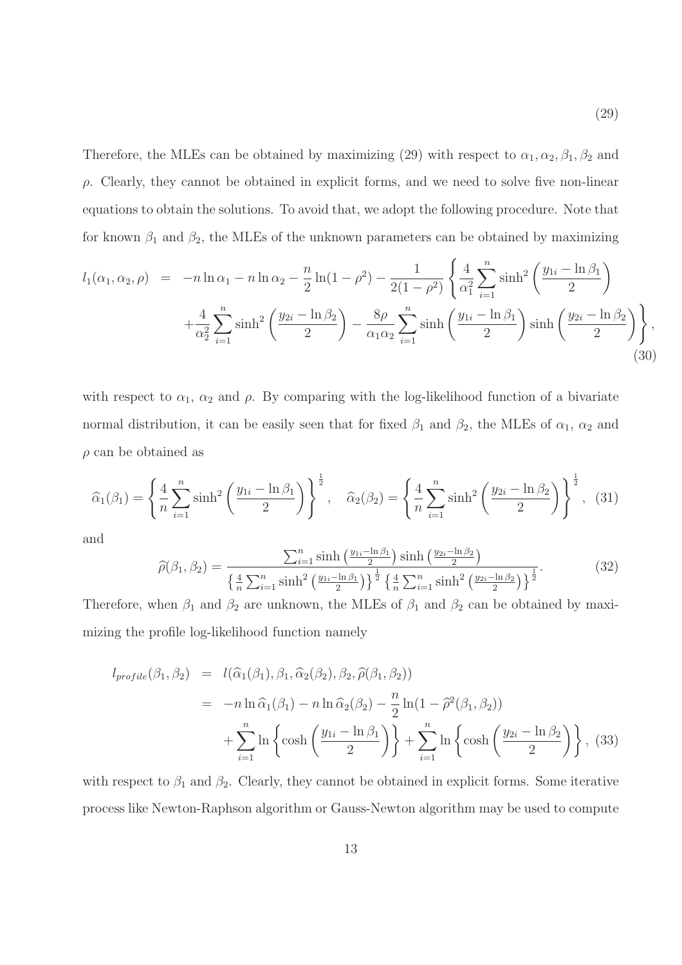Therefore, the MLEs can be obtained by maximizing (29) with respect to  $\alpha_1, \alpha_2, \beta_1, \beta_2$  and  $\rho$ . Clearly, they cannot be obtained in explicit forms, and we need to solve five non-linear equations to obtain the solutions. To avoid that, we adopt the following procedure. Note that for known  $\beta_1$  and  $\beta_2$ , the MLEs of the unknown parameters can be obtained by maximizing

$$
l_{1}(\alpha_{1}, \alpha_{2}, \rho) = -n \ln \alpha_{1} - n \ln \alpha_{2} - \frac{n}{2} \ln(1 - \rho^{2}) - \frac{1}{2(1 - \rho^{2})} \left\{ \frac{4}{\alpha_{1}^{2}} \sum_{i=1}^{n} \sinh^{2} \left( \frac{y_{1i} - \ln \beta_{1}}{2} \right) + \frac{4}{\alpha_{2}^{2}} \sum_{i=1}^{n} \sinh^{2} \left( \frac{y_{2i} - \ln \beta_{2}}{2} \right) - \frac{8\rho}{\alpha_{1}\alpha_{2}} \sum_{i=1}^{n} \sinh \left( \frac{y_{1i} - \ln \beta_{1}}{2} \right) \sinh \left( \frac{y_{2i} - \ln \beta_{2}}{2} \right) \right\},
$$
\n(30)

with respect to  $\alpha_1$ ,  $\alpha_2$  and  $\rho$ . By comparing with the log-likelihood function of a bivariate normal distribution, it can be easily seen that for fixed  $\beta_1$  and  $\beta_2$ , the MLEs of  $\alpha_1$ ,  $\alpha_2$  and  $\rho$  can be obtained as

$$
\widehat{\alpha}_{1}(\beta_{1}) = \left\{ \frac{4}{n} \sum_{i=1}^{n} \sinh^{2} \left( \frac{y_{1i} - \ln \beta_{1}}{2} \right) \right\}^{\frac{1}{2}}, \quad \widehat{\alpha}_{2}(\beta_{2}) = \left\{ \frac{4}{n} \sum_{i=1}^{n} \sinh^{2} \left( \frac{y_{2i} - \ln \beta_{2}}{2} \right) \right\}^{\frac{1}{2}}, \quad (31)
$$

and

$$
\widehat{\rho}(\beta_1, \beta_2) = \frac{\sum_{i=1}^n \sinh\left(\frac{y_{1i} - \ln \beta_1}{2}\right) \sinh\left(\frac{y_{2i} - \ln \beta_2}{2}\right)}{\left\{\frac{4}{n} \sum_{i=1}^n \sinh^2\left(\frac{y_{1i} - \ln \beta_1}{2}\right)\right\}^{\frac{1}{2}} \left\{\frac{4}{n} \sum_{i=1}^n \sinh^2\left(\frac{y_{2i} - \ln \beta_2}{2}\right)\right\}^{\frac{1}{2}}}.
$$
\n(32)

Therefore, when  $\beta_1$  and  $\beta_2$  are unknown, the MLEs of  $\beta_1$  and  $\beta_2$  can be obtained by maximizing the profile log-likelihood function namely

$$
l_{profile}(\beta_1, \beta_2) = l(\widehat{\alpha}_1(\beta_1), \beta_1, \widehat{\alpha}_2(\beta_2), \beta_2, \widehat{\rho}(\beta_1, \beta_2))
$$
  
= 
$$
-n \ln \widehat{\alpha}_1(\beta_1) - n \ln \widehat{\alpha}_2(\beta_2) - \frac{n}{2} \ln(1 - \widehat{\rho}^2(\beta_1, \beta_2))
$$
  
+ 
$$
\sum_{i=1}^n \ln \left\{ \cosh \left( \frac{y_{1i} - \ln \beta_1}{2} \right) \right\} + \sum_{i=1}^n \ln \left\{ \cosh \left( \frac{y_{2i} - \ln \beta_2}{2} \right) \right\}, (33)
$$

with respect to  $\beta_1$  and  $\beta_2$ . Clearly, they cannot be obtained in explicit forms. Some iterative process like Newton-Raphson algorithm or Gauss-Newton algorithm may be used to compute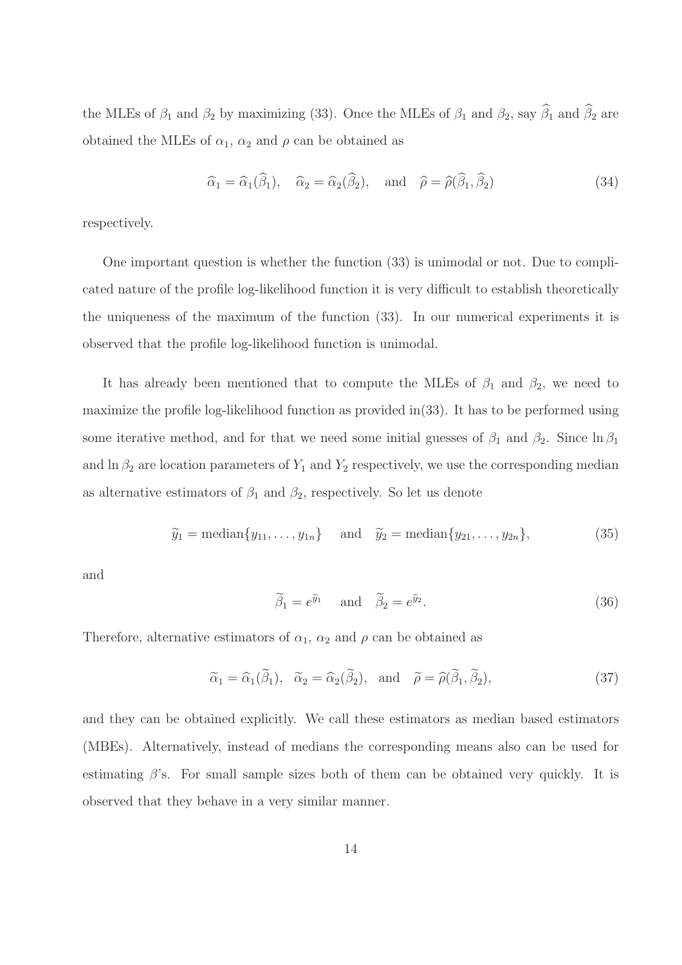the MLEs of  $\beta_1$  and  $\beta_2$  by maximizing (33). Once the MLEs of  $\beta_1$  and  $\beta_2$ , say  $\widehat{\beta}_1$  and  $\widehat{\beta}_2$  are obtained the MLEs of  $\alpha_1$ ,  $\alpha_2$  and  $\rho$  can be obtained as

$$
\widehat{\alpha}_1 = \widehat{\alpha}_1(\widehat{\beta}_1), \quad \widehat{\alpha}_2 = \widehat{\alpha}_2(\widehat{\beta}_2), \quad \text{and} \quad \widehat{\rho} = \widehat{\rho}(\widehat{\beta}_1, \widehat{\beta}_2) \tag{34}
$$

respectively.

One important question is whether the function (33) is unimodal or not. Due to complicated nature of the profile log-likelihood function it is very difficult to establish theoretically the uniqueness of the maximum of the function (33). In our numerical experiments it is observed that the profile log-likelihood function is unimodal.

It has already been mentioned that to compute the MLEs of  $\beta_1$  and  $\beta_2$ , we need to maximize the profile log-likelihood function as provided in(33). It has to be performed using some iterative method, and for that we need some initial guesses of  $\beta_1$  and  $\beta_2$ . Since  $\ln \beta_1$ and  $\ln \beta_2$  are location parameters of  $Y_1$  and  $Y_2$  respectively, we use the corresponding median as alternative estimators of  $\beta_1$  and  $\beta_2$ , respectively. So let us denote

$$
\widetilde{y}_1 = \text{median}\{y_{11}, \ldots, y_{1n}\}\
$$
 and  $\widetilde{y}_2 = \text{median}\{y_{21}, \ldots, y_{2n}\},$  (35)

and

$$
\widetilde{\beta}_1 = e^{\widetilde{y}_1} \quad \text{and} \quad \widetilde{\beta}_2 = e^{\widetilde{y}_2}.
$$
\n(36)

Therefore, alternative estimators of  $\alpha_1$ ,  $\alpha_2$  and  $\rho$  can be obtained as

$$
\widetilde{\alpha}_1 = \widehat{\alpha}_1(\widetilde{\beta}_1), \quad \widetilde{\alpha}_2 = \widehat{\alpha}_2(\widetilde{\beta}_2), \quad \text{and} \quad \widetilde{\rho} = \widehat{\rho}(\widetilde{\beta}_1, \widetilde{\beta}_2),
$$
\n(37)

and they can be obtained explicitly. We call these estimators as median based estimators (MBEs). Alternatively, instead of medians the corresponding means also can be used for estimating  $\beta$ 's. For small sample sizes both of them can be obtained very quickly. It is observed that they behave in a very similar manner.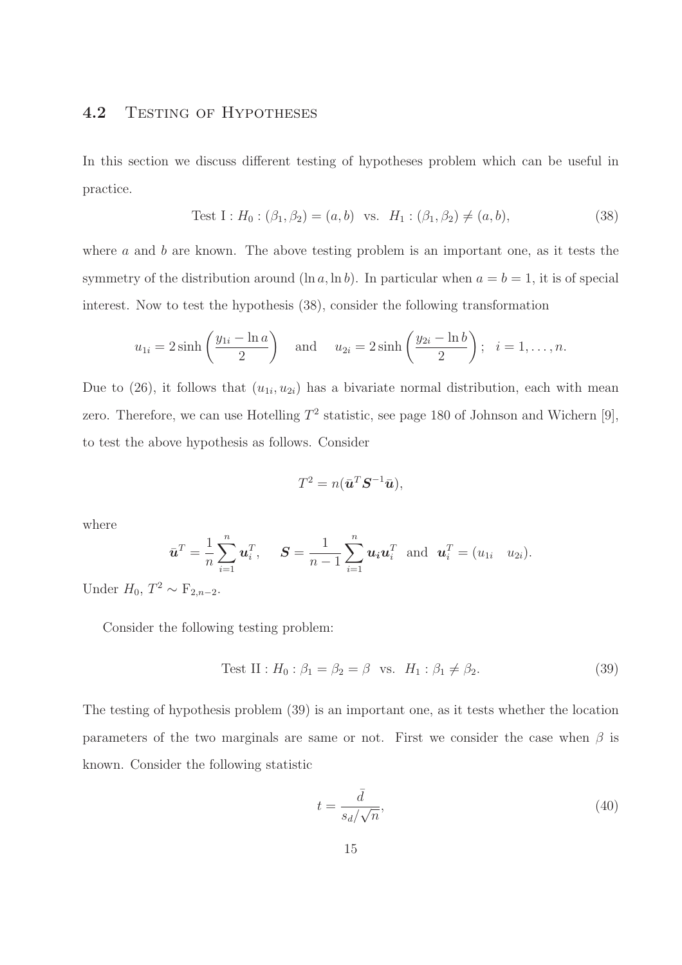### 4.2 TESTING OF HYPOTHESES

In this section we discuss different testing of hypotheses problem which can be useful in practice.

Test I : 
$$
H_0: (\beta_1, \beta_2) = (a, b)
$$
 vs.  $H_1: (\beta_1, \beta_2) \neq (a, b)$ , (38)

where  $a$  and  $b$  are known. The above testing problem is an important one, as it tests the symmetry of the distribution around  $(\ln a, \ln b)$ . In particular when  $a = b = 1$ , it is of special interest. Now to test the hypothesis (38), consider the following transformation

$$
u_{1i} = 2\sinh\left(\frac{y_{1i} - \ln a}{2}\right)
$$
 and  $u_{2i} = 2\sinh\left(\frac{y_{2i} - \ln b}{2}\right)$ ;  $i = 1, ..., n$ .

Due to (26), it follows that  $(u_{1i}, u_{2i})$  has a bivariate normal distribution, each with mean zero. Therefore, we can use Hotelling  $T^2$  statistic, see page 180 of Johnson and Wichern [9], to test the above hypothesis as follows. Consider

$$
T^2 = n(\bar{\boldsymbol{u}}^T \boldsymbol{S}^{-1} \bar{\boldsymbol{u}}),
$$

where

$$
\bar{\boldsymbol{u}}^T = \frac{1}{n} \sum_{i=1}^n \boldsymbol{u}_i^T, \quad \boldsymbol{S} = \frac{1}{n-1} \sum_{i=1}^n \boldsymbol{u}_i \boldsymbol{u}_i^T \text{ and } \boldsymbol{u}_i^T = (u_{1i} \quad u_{2i}).
$$

Under  $H_0, T^2 \sim F_{2,n-2}$ .

Consider the following testing problem:

Test II : 
$$
H_0: \beta_1 = \beta_2 = \beta
$$
 vs.  $H_1: \beta_1 \neq \beta_2$ . (39)

The testing of hypothesis problem (39) is an important one, as it tests whether the location parameters of the two marginals are same or not. First we consider the case when  $\beta$  is known. Consider the following statistic

$$
t = \frac{\bar{d}}{s_d / \sqrt{n}},\tag{40}
$$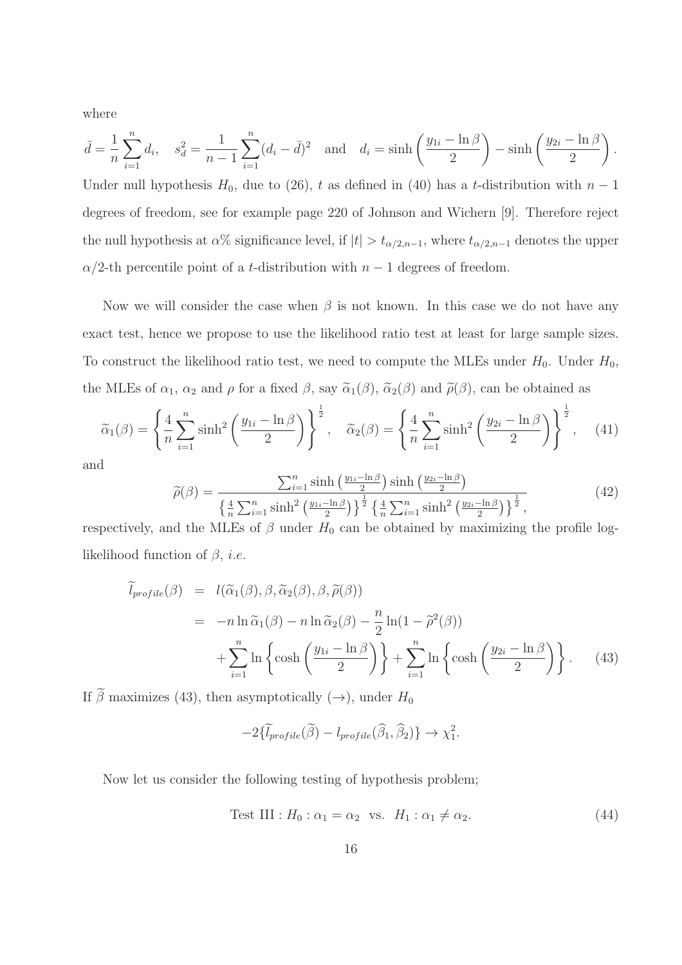where

$$
\bar{d} = \frac{1}{n} \sum_{i=1}^{n} d_i, \quad s_d^2 = \frac{1}{n-1} \sum_{i=1}^{n} (d_i - \bar{d})^2 \quad \text{and} \quad d_i = \sinh\left(\frac{y_{1i} - \ln\beta}{2}\right) - \sinh\left(\frac{y_{2i} - \ln\beta}{2}\right).
$$

Under null hypothesis  $H_0$ , due to (26), t as defined in (40) has a t-distribution with  $n-1$ degrees of freedom, see for example page 220 of Johnson and Wichern [9]. Therefore reject the null hypothesis at  $\alpha$ % significance level, if  $|t| > t_{\alpha/2,n-1}$ , where  $t_{\alpha/2,n-1}$  denotes the upper  $\alpha/2$ -th percentile point of a *t*-distribution with  $n-1$  degrees of freedom.

Now we will consider the case when  $\beta$  is not known. In this case we do not have any exact test, hence we propose to use the likelihood ratio test at least for large sample sizes. To construct the likelihood ratio test, we need to compute the MLEs under  $H_0$ . Under  $H_0$ , the MLEs of  $\alpha_1$ ,  $\alpha_2$  and  $\rho$  for a fixed  $\beta$ , say  $\tilde{\alpha}_1(\beta)$ ,  $\tilde{\alpha}_2(\beta)$  and  $\tilde{\rho}(\beta)$ , can be obtained as

$$
\widetilde{\alpha}_1(\beta) = \left\{ \frac{4}{n} \sum_{i=1}^n \sinh^2 \left( \frac{y_{1i} - \ln \beta}{2} \right) \right\}^{\frac{1}{2}}, \quad \widetilde{\alpha}_2(\beta) = \left\{ \frac{4}{n} \sum_{i=1}^n \sinh^2 \left( \frac{y_{2i} - \ln \beta}{2} \right) \right\}^{\frac{1}{2}}, \quad (41)
$$

and

$$
\widetilde{\rho}(\beta) = \frac{\sum_{i=1}^{n} \sinh\left(\frac{y_{1i} - \ln\beta}{2}\right) \sinh\left(\frac{y_{2i} - \ln\beta}{2}\right)}{\left\{\frac{4}{n}\sum_{i=1}^{n} \sinh^{2}\left(\frac{y_{1i} - \ln\beta}{2}\right)\right\}^{\frac{1}{2}} \left\{\frac{4}{n}\sum_{i=1}^{n} \sinh^{2}\left(\frac{y_{2i} - \ln\beta}{2}\right)\right\}^{\frac{1}{2}}},\tag{42}
$$

respectively, and the MLEs of  $\beta$  under  $H_0$  can be obtained by maximizing the profile loglikelihood function of  $\beta$ , *i.e.* 

$$
\widetilde{l}_{profile}(\beta) = l(\widetilde{\alpha}_{1}(\beta), \beta, \widetilde{\alpha}_{2}(\beta), \beta, \widetilde{\rho}(\beta))
$$
\n
$$
= -n \ln \widetilde{\alpha}_{1}(\beta) - n \ln \widetilde{\alpha}_{2}(\beta) - \frac{n}{2} \ln(1 - \widetilde{\rho}^{2}(\beta))
$$
\n
$$
+ \sum_{i=1}^{n} \ln \left\{ \cosh \left( \frac{y_{1i} - \ln \beta}{2} \right) \right\} + \sum_{i=1}^{n} \ln \left\{ \cosh \left( \frac{y_{2i} - \ln \beta}{2} \right) \right\}. \tag{43}
$$

If  $\tilde{\beta}$  maximizes (43), then asymptotically ( $\rightarrow$ ), under  $H_0$ 

$$
-2\{\widetilde{l}_{profile}(\widetilde{\beta}) - l_{profile}(\widehat{\beta}_1, \widehat{\beta}_2)\} \rightarrow \chi_1^2.
$$

Now let us consider the following testing of hypothesis problem;

Test III : 
$$
H_0: \alpha_1 = \alpha_2
$$
 vs.  $H_1: \alpha_1 \neq \alpha_2$ . (44)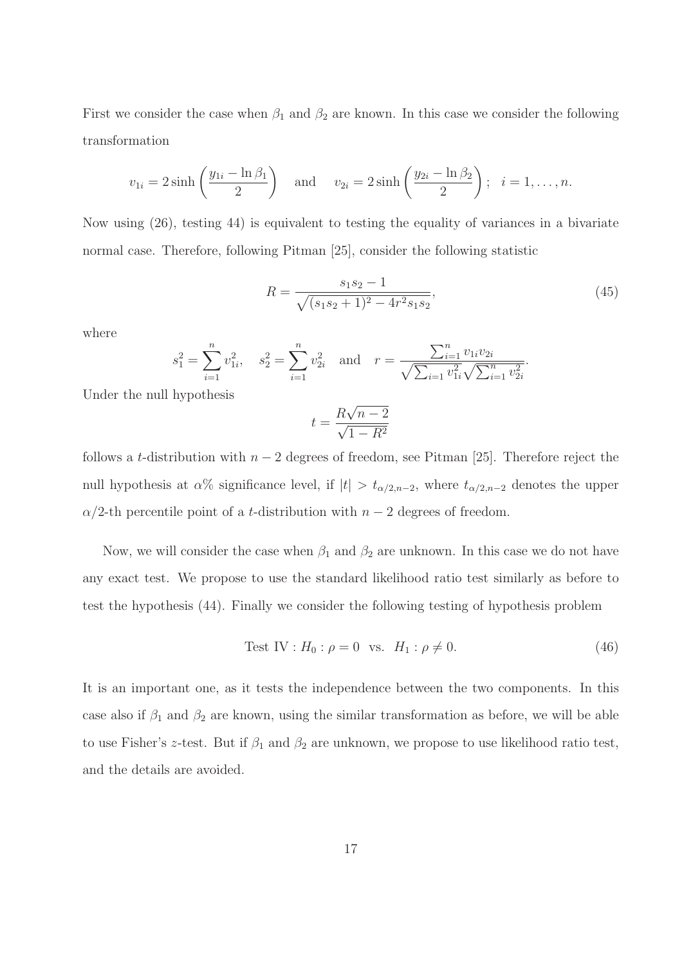First we consider the case when  $\beta_1$  and  $\beta_2$  are known. In this case we consider the following transformation

$$
v_{1i} = 2\sinh\left(\frac{y_{1i} - \ln\beta_1}{2}\right) \quad \text{and} \quad v_{2i} = 2\sinh\left(\frac{y_{2i} - \ln\beta_2}{2}\right); \quad i = 1, \dots, n.
$$

Now using (26), testing 44) is equivalent to testing the equality of variances in a bivariate normal case. Therefore, following Pitman [25], consider the following statistic

$$
R = \frac{s_1 s_2 - 1}{\sqrt{(s_1 s_2 + 1)^2 - 4r^2 s_1 s_2}},\tag{45}
$$

where

$$
s_1^2 = \sum_{i=1}^n v_{1i}^2
$$
,  $s_2^2 = \sum_{i=1}^n v_{2i}^2$  and  $r = \frac{\sum_{i=1}^n v_{1i}v_{2i}}{\sqrt{\sum_{i=1}^n v_{1i}^2} \sqrt{\sum_{i=1}^n v_{2i}^2}}$ .

Under the null hypothesis

$$
t = \frac{R\sqrt{n-2}}{\sqrt{1-R^2}}
$$

follows a t-distribution with  $n-2$  degrees of freedom, see Pitman [25]. Therefore reject the null hypothesis at  $\alpha$ % significance level, if  $|t| > t_{\alpha/2,n-2}$ , where  $t_{\alpha/2,n-2}$  denotes the upper  $\alpha/2$ -th percentile point of a *t*-distribution with  $n-2$  degrees of freedom.

Now, we will consider the case when  $\beta_1$  and  $\beta_2$  are unknown. In this case we do not have any exact test. We propose to use the standard likelihood ratio test similarly as before to test the hypothesis (44). Finally we consider the following testing of hypothesis problem

Test IV : 
$$
H_0: \rho = 0
$$
 vs.  $H_1: \rho \neq 0$ . (46)

It is an important one, as it tests the independence between the two components. In this case also if  $\beta_1$  and  $\beta_2$  are known, using the similar transformation as before, we will be able to use Fisher's z-test. But if  $\beta_1$  and  $\beta_2$  are unknown, we propose to use likelihood ratio test, and the details are avoided.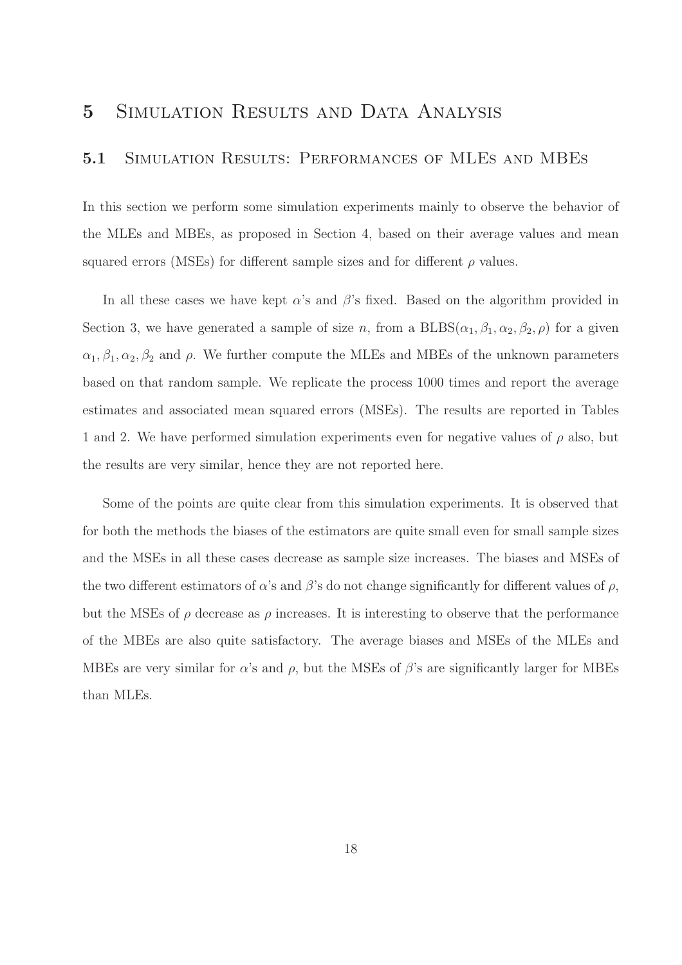# 5 Simulation Results and Data Analysis

#### 5.1 Simulation Results: Performances of MLEs and MBEs

In this section we perform some simulation experiments mainly to observe the behavior of the MLEs and MBEs, as proposed in Section 4, based on their average values and mean squared errors (MSEs) for different sample sizes and for different  $\rho$  values.

In all these cases we have kept  $\alpha$ 's and  $\beta$ 's fixed. Based on the algorithm provided in Section 3, we have generated a sample of size n, from a  $BLES(\alpha_1, \beta_1, \alpha_2, \beta_2, \rho)$  for a given  $\alpha_1, \beta_1, \alpha_2, \beta_2$  and  $\rho$ . We further compute the MLEs and MBEs of the unknown parameters based on that random sample. We replicate the process 1000 times and report the average estimates and associated mean squared errors (MSEs). The results are reported in Tables 1 and 2. We have performed simulation experiments even for negative values of  $\rho$  also, but the results are very similar, hence they are not reported here.

Some of the points are quite clear from this simulation experiments. It is observed that for both the methods the biases of the estimators are quite small even for small sample sizes and the MSEs in all these cases decrease as sample size increases. The biases and MSEs of the two different estimators of  $\alpha$ 's and  $\beta$ 's do not change significantly for different values of  $\rho$ , but the MSEs of  $\rho$  decrease as  $\rho$  increases. It is interesting to observe that the performance of the MBEs are also quite satisfactory. The average biases and MSEs of the MLEs and MBEs are very similar for  $\alpha$ 's and  $\rho$ , but the MSEs of  $\beta$ 's are significantly larger for MBEs than MLEs.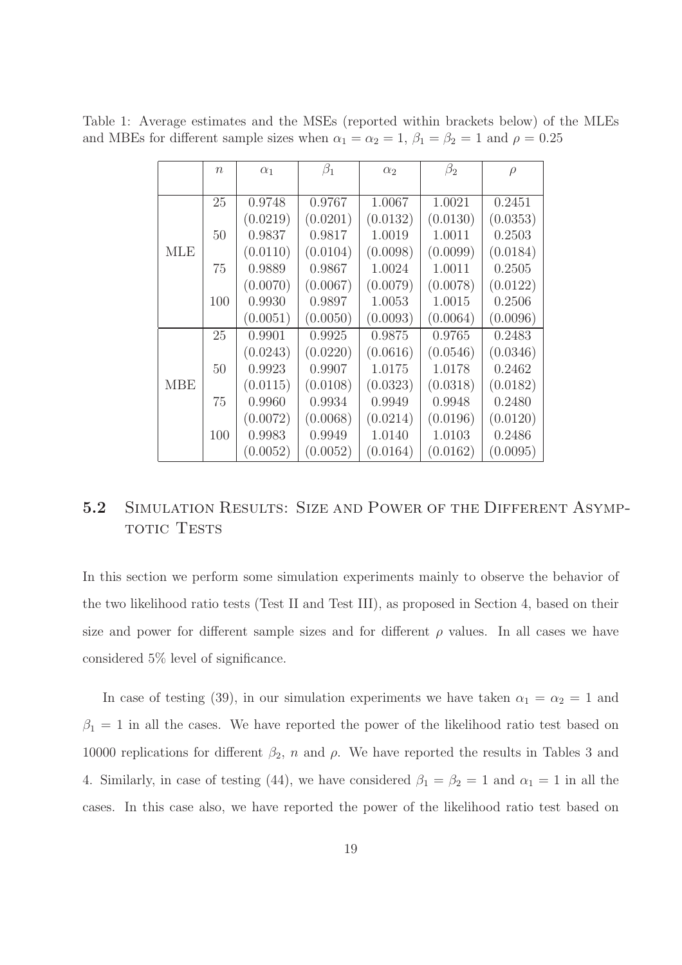Table 1: Average estimates and the MSEs (reported within brackets below) of the MLEs and MBEs for different sample sizes when  $\alpha_1 = \alpha_2 = 1$ ,  $\beta_1 = \beta_2 = 1$  and  $\rho = 0.25$ 

|            | $\eta$ | $\alpha_1$ | $\beta_1$ | $\alpha_2$ | $\beta_2$ | $\rho$   |
|------------|--------|------------|-----------|------------|-----------|----------|
|            |        |            |           |            |           |          |
|            | 25     | 0.9748     | 0.9767    | 1.0067     | 1.0021    | 0.2451   |
|            |        | (0.0219)   | (0.0201)  | (0.0132)   | (0.0130)  | (0.0353) |
|            | 50     | 0.9837     | 0.9817    | 1.0019     | 1.0011    | 0.2503   |
| MLE        |        | (0.0110)   | (0.0104)  | (0.0098)   | (0.0099)  | (0.0184) |
|            | 75     | 0.9889     | 0.9867    | 1.0024     | 1.0011    | 0.2505   |
|            |        | (0.0070)   | (0.0067)  | (0.0079)   | (0.0078)  | (0.0122) |
|            | 100    | 0.9930     | 0.9897    | 1.0053     | 1.0015    | 0.2506   |
|            |        | (0.0051)   | (0.0050)  | (0.0093)   | (0.0064)  | (0.0096) |
|            | 25     | 0.9901     | 0.9925    | 0.9875     | 0.9765    | 0.2483   |
|            |        | (0.0243)   | (0.0220)  | (0.0616)   | (0.0546)  | (0.0346) |
|            | 50     | 0.9923     | 0.9907    | 1.0175     | 1.0178    | 0.2462   |
| <b>MBE</b> |        | (0.0115)   | (0.0108)  | (0.0323)   | (0.0318)  | (0.0182) |
|            | 75     | 0.9960     | 0.9934    | 0.9949     | 0.9948    | 0.2480   |
|            |        | (0.0072)   | (0.0068)  | (0.0214)   | (0.0196)  | (0.0120) |
|            | 100    | 0.9983     | 0.9949    | 1.0140     | 1.0103    | 0.2486   |
|            |        | (0.0052)   | (0.0052)  | (0.0164)   | (0.0162)  | (0.0095) |

# 5.2 SIMULATION RESULTS: SIZE AND POWER OF THE DIFFERENT ASYMP-TOTIC TESTS

In this section we perform some simulation experiments mainly to observe the behavior of the two likelihood ratio tests (Test II and Test III), as proposed in Section 4, based on their size and power for different sample sizes and for different  $\rho$  values. In all cases we have considered 5% level of significance.

In case of testing (39), in our simulation experiments we have taken  $\alpha_1 = \alpha_2 = 1$  and  $\beta_1 = 1$  in all the cases. We have reported the power of the likelihood ratio test based on 10000 replications for different  $\beta_2$ , n and  $\rho$ . We have reported the results in Tables 3 and 4. Similarly, in case of testing (44), we have considered  $\beta_1 = \beta_2 = 1$  and  $\alpha_1 = 1$  in all the cases. In this case also, we have reported the power of the likelihood ratio test based on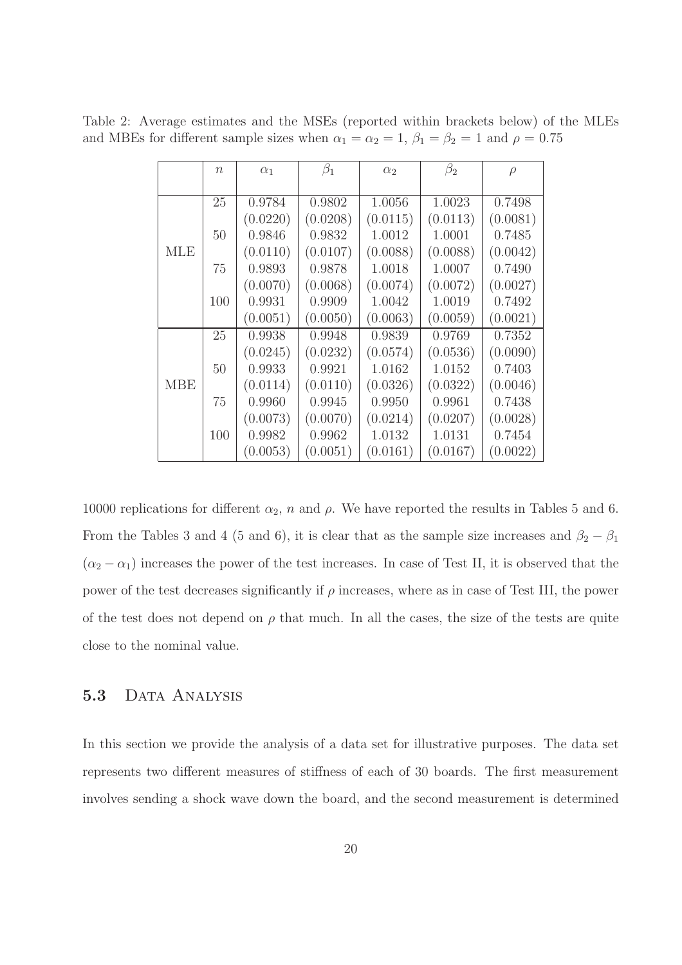Table 2: Average estimates and the MSEs (reported within brackets below) of the MLEs and MBEs for different sample sizes when  $\alpha_1 = \alpha_2 = 1$ ,  $\beta_1 = \beta_2 = 1$  and  $\rho = 0.75$ 

|            | $\eta$ | $\alpha_1$ | $\beta_1$ | $\alpha_2$ | $\beta_2$ | $\rho$   |
|------------|--------|------------|-----------|------------|-----------|----------|
|            |        |            |           |            |           |          |
|            | 25     | 0.9784     | 0.9802    | 1.0056     | 1.0023    | 0.7498   |
|            |        | (0.0220)   | (0.0208)  | (0.0115)   | (0.0113)  | (0.0081) |
|            | 50     | 0.9846     | 0.9832    | 1.0012     | 1.0001    | 0.7485   |
| MLE        |        | (0.0110)   | (0.0107)  | (0.0088)   | (0.0088)  | (0.0042) |
|            | 75     | 0.9893     | 0.9878    | 1.0018     | 1.0007    | 0.7490   |
|            |        | (0.0070)   | (0.0068)  | (0.0074)   | (0.0072)  | (0.0027) |
|            | 100    | 0.9931     | 0.9909    | 1.0042     | 1.0019    | 0.7492   |
|            |        | (0.0051)   | (0.0050)  | (0.0063)   | (0.0059)  | (0.0021) |
|            | 25     | 0.9938     | 0.9948    | 0.9839     | 0.9769    | 0.7352   |
|            |        | (0.0245)   | (0.0232)  | (0.0574)   | (0.0536)  | (0.0090) |
|            | 50     | 0.9933     | 0.9921    | 1.0162     | 1.0152    | 0.7403   |
| <b>MBE</b> |        | (0.0114)   | (0.0110)  | (0.0326)   | (0.0322)  | (0.0046) |
|            | 75     | 0.9960     | 0.9945    | 0.9950     | 0.9961    | 0.7438   |
|            |        | (0.0073)   | (0.0070)  | (0.0214)   | (0.0207)  | (0.0028) |
|            | 100    | 0.9982     | 0.9962    | 1.0132     | 1.0131    | 0.7454   |
|            |        | (0.0053)   | (0.0051)  | (0.0161)   | (0.0167)  | (0.0022) |

10000 replications for different  $\alpha_2$ , n and  $\rho$ . We have reported the results in Tables 5 and 6. From the Tables 3 and 4 (5 and 6), it is clear that as the sample size increases and  $\beta_2 - \beta_1$  $(\alpha_2 - \alpha_1)$  increases the power of the test increases. In case of Test II, it is observed that the power of the test decreases significantly if  $\rho$  increases, where as in case of Test III, the power of the test does not depend on  $\rho$  that much. In all the cases, the size of the tests are quite close to the nominal value.

### 5.3 DATA ANALYSIS

In this section we provide the analysis of a data set for illustrative purposes. The data set represents two different measures of stiffness of each of 30 boards. The first measurement involves sending a shock wave down the board, and the second measurement is determined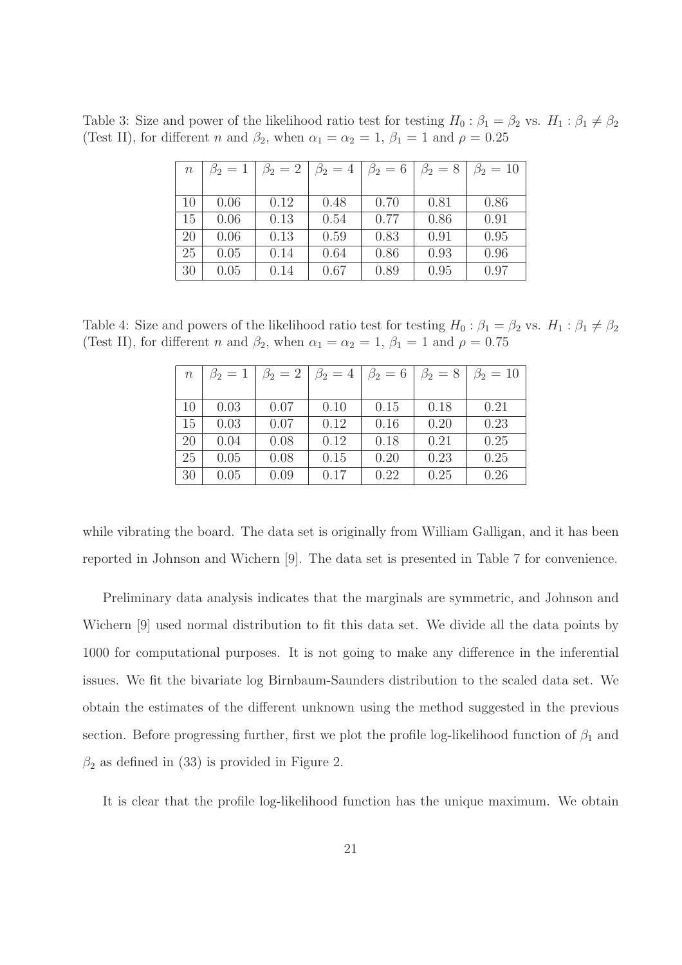Table 3: Size and power of the likelihood ratio test for testing  $H_0: \beta_1 = \beta_2$  vs.  $H_1: \beta_1 \neq \beta_2$ (Test II), for different *n* and  $\beta_2$ , when  $\alpha_1 = \alpha_2 = 1$ ,  $\beta_1 = 1$  and  $\rho = 0.25$ 

| $\, n$ | $\beta_2=1$ | $\beta_2=2$ | $\beta_2=4$ | $\beta_2=6$ | $\beta_2=8$ | $\beta_2 = 10$ |
|--------|-------------|-------------|-------------|-------------|-------------|----------------|
|        |             |             |             |             |             |                |
| 10     | 0.06        | 0.12        | 0.48        | 0.70        | 0.81        | 0.86           |
| 15     | 0.06        | 0.13        | 0.54        | 0.77        | 0.86        | 0.91           |
| 20     | 0.06        | 0.13        | 0.59        | 0.83        | 0.91        | 0.95           |
| 25     | 0.05        | 0.14        | 0.64        | 0.86        | 0.93        | 0.96           |
| 30     | 0.05        | 0.14        | 0.67        | 0.89        | 0.95        | 0.97           |

Table 4: Size and powers of the likelihood ratio test for testing  $H_0: \beta_1 = \beta_2$  vs.  $H_1: \beta_1 \neq \beta_2$ (Test II), for different n and  $\beta_2$ , when  $\alpha_1 = \alpha_2 = 1$ ,  $\beta_1 = 1$  and  $\rho = 0.75$ 

| $\,n$ | $\beta_2=1$ | $\beta_2=2$ | $\beta_2=4$ | $\beta_2=6$ | $\beta_2=8$ | $\beta_2 = 10$ |
|-------|-------------|-------------|-------------|-------------|-------------|----------------|
|       |             |             |             |             |             |                |
| 10    | 0.03        | 0.07        | 0.10        | 0.15        | 0.18        | 0.21           |
| 15    | 0.03        | 0.07        | 0.12        | 0.16        | 0.20        | 0.23           |
| 20    | 0.04        | 0.08        | 0.12        | 0.18        | 0.21        | 0.25           |
| 25    | 0.05        | 0.08        | 0.15        | 0.20        | 0.23        | 0.25           |
| 30    | 0.05        | 0.09        | 0.17        | 0.22        | 0.25        | 0.26           |

while vibrating the board. The data set is originally from William Galligan, and it has been reported in Johnson and Wichern [9]. The data set is presented in Table 7 for convenience.

Preliminary data analysis indicates that the marginals are symmetric, and Johnson and Wichern [9] used normal distribution to fit this data set. We divide all the data points by 1000 for computational purposes. It is not going to make any difference in the inferential issues. We fit the bivariate log Birnbaum-Saunders distribution to the scaled data set. We obtain the estimates of the different unknown using the method suggested in the previous section. Before progressing further, first we plot the profile log-likelihood function of  $\beta_1$  and  $\beta_2$  as defined in (33) is provided in Figure 2.

It is clear that the profile log-likelihood function has the unique maximum. We obtain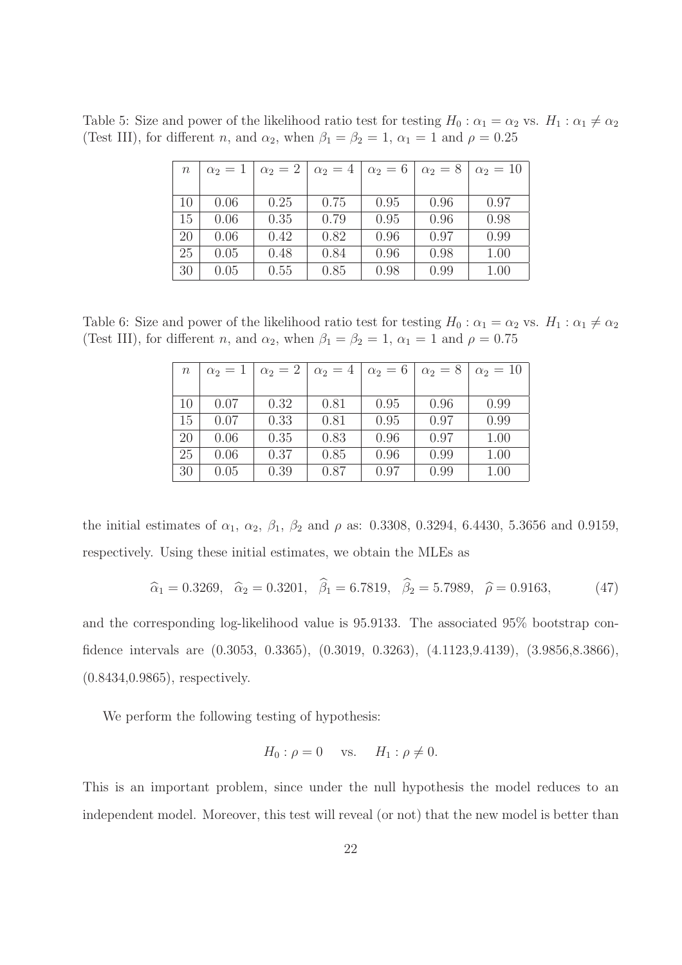Table 5: Size and power of the likelihood ratio test for testing  $H_0: \alpha_1 = \alpha_2$  vs.  $H_1: \alpha_1 \neq \alpha_2$ (Test III), for different *n*, and  $\alpha_2$ , when  $\beta_1 = \beta_2 = 1$ ,  $\alpha_1 = 1$  and  $\rho = 0.25$ 

| $\, n$ | $\alpha_2=1$ | $\alpha_2=2$ | $\alpha_2=4$ | $\alpha_2=6$ | $\alpha_2=8$ | $\alpha_2=10$ |
|--------|--------------|--------------|--------------|--------------|--------------|---------------|
|        |              |              |              |              |              |               |
| 10     | 0.06         | 0.25         | 0.75         | 0.95         | 0.96         | 0.97          |
| 15     | 0.06         | 0.35         | 0.79         | 0.95         | 0.96         | 0.98          |
| 20     | 0.06         | 0.42         | 0.82         | 0.96         | 0.97         | 0.99          |
| 25     | 0.05         | 0.48         | 0.84         | 0.96         | 0.98         | 1.00          |
| 30     | 0.05         | 0.55         | 0.85         | 0.98         | 0.99         | 1.00          |

Table 6: Size and power of the likelihood ratio test for testing  $H_0: \alpha_1 = \alpha_2$  vs.  $H_1: \alpha_1 \neq \alpha_2$ (Test III), for different *n*, and  $\alpha_2$ , when  $\beta_1 = \beta_2 = 1$ ,  $\alpha_1 = 1$  and  $\rho = 0.75$ 

| $\, n$ | $\alpha_2=1$ | $\alpha_2=2$ | $\alpha_2=4$ | $\alpha_2=6$ | $\alpha_2=8$ | $\alpha_2=10$ |
|--------|--------------|--------------|--------------|--------------|--------------|---------------|
|        |              |              |              |              |              |               |
| 10     | 0.07         | 0.32         | 0.81         | 0.95         | 0.96         | 0.99          |
| 15     | 0.07         | 0.33         | 0.81         | 0.95         | 0.97         | 0.99          |
| 20     | 0.06         | 0.35         | 0.83         | 0.96         | 0.97         | 1.00          |
| 25     | 0.06         | 0.37         | 0.85         | 0.96         | 0.99         | 1.00          |
| 30     | 0.05         | 0.39         | 0.87         | 0.97         | 0.99         | 1.00          |

the initial estimates of  $\alpha_1$ ,  $\alpha_2$ ,  $\beta_1$ ,  $\beta_2$  and  $\rho$  as: 0.3308, 0.3294, 6.4430, 5.3656 and 0.9159, respectively. Using these initial estimates, we obtain the MLEs as

$$
\hat{\alpha}_1 = 0.3269, \quad \hat{\alpha}_2 = 0.3201, \quad \hat{\beta}_1 = 6.7819, \quad \hat{\beta}_2 = 5.7989, \quad \hat{\rho} = 0.9163,
$$
\n(47)

and the corresponding log-likelihood value is 95.9133. The associated 95% bootstrap confidence intervals are (0.3053, 0.3365), (0.3019, 0.3263), (4.1123,9.4139), (3.9856,8.3866), (0.8434,0.9865), respectively.

We perform the following testing of hypothesis:

$$
H_0: \rho = 0 \quad \text{vs.} \quad H_1: \rho \neq 0.
$$

This is an important problem, since under the null hypothesis the model reduces to an independent model. Moreover, this test will reveal (or not) that the new model is better than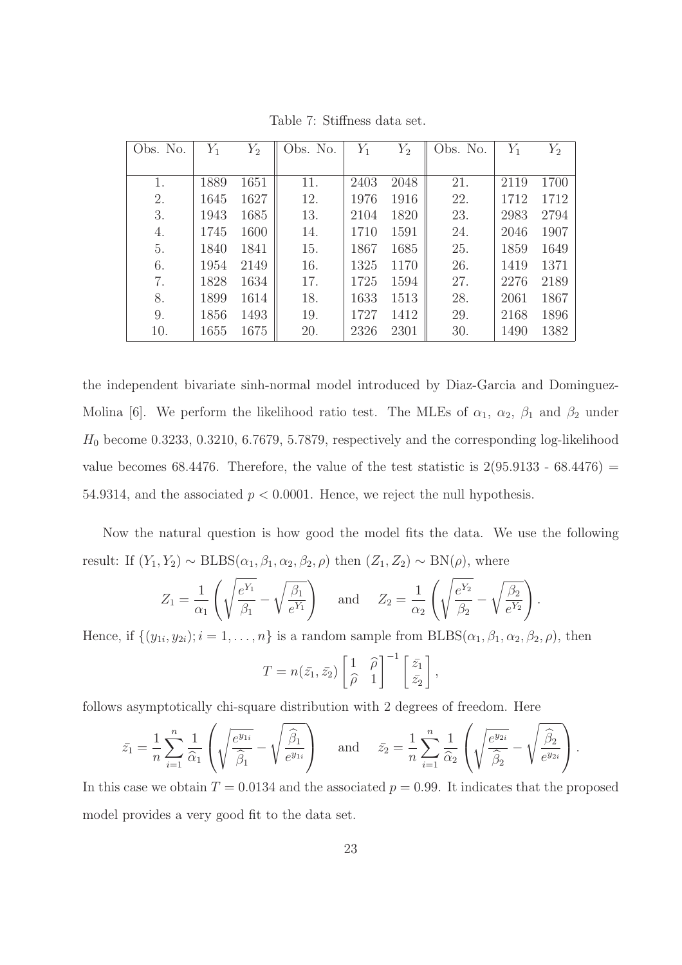| Obs. No. | $Y_1$ | $Y_2$ | Obs. No. | $Y_1$ | $Y_2$ | Obs. No. | $Y_1$ | $Y_2$ |
|----------|-------|-------|----------|-------|-------|----------|-------|-------|
|          |       |       |          |       |       |          |       |       |
| 1.       | 1889  | 1651  | 11.      | 2403  | 2048  | 21.      | 2119  | 1700  |
| 2.       | 1645  | 1627  | 12.      | 1976  | 1916  | 22.      | 1712  | 1712  |
| 3.       | 1943  | 1685  | 13.      | 2104  | 1820  | 23.      | 2983  | 2794  |
| 4.       | 1745  | 1600  | 14.      | 1710  | 1591  | 24.      | 2046  | 1907  |
| 5.       | 1840  | 1841  | 15.      | 1867  | 1685  | 25.      | 1859  | 1649  |
| 6.       | 1954  | 2149  | 16.      | 1325  | 1170  | 26.      | 1419  | 1371  |
| 7.       | 1828  | 1634  | 17.      | 1725  | 1594  | 27.      | 2276  | 2189  |
| 8.       | 1899  | 1614  | 18.      | 1633  | 1513  | 28.      | 2061  | 1867  |
| 9.       | 1856  | 1493  | 19.      | 1727  | 1412  | 29.      | 2168  | 1896  |
| 10.      | 1655  | 1675  | 20.      | 2326  | 2301  | 30.      | 1490  | 1382  |

Table 7: Stiffness data set.

the independent bivariate sinh-normal model introduced by Diaz-Garcia and Dominguez-Molina [6]. We perform the likelihood ratio test. The MLEs of  $\alpha_1$ ,  $\alpha_2$ ,  $\beta_1$  and  $\beta_2$  under  $H_0$  become 0.3233, 0.3210, 6.7679, 5.7879, respectively and the corresponding log-likelihood value becomes 68.4476. Therefore, the value of the test statistic is  $2(95.9133 - 68.4476)$  = 54.9314, and the associated  $p < 0.0001$ . Hence, we reject the null hypothesis.

Now the natural question is how good the model fits the data. We use the following result: If  $(Y_1, Y_2) \sim \text{BLBS}(\alpha_1, \beta_1, \alpha_2, \beta_2, \rho)$  then  $(Z_1, Z_2) \sim \text{BN}(\rho)$ , where

$$
Z_1 = \frac{1}{\alpha_1} \left( \sqrt{\frac{e^{Y_1}}{\beta_1}} - \sqrt{\frac{\beta_1}{e^{Y_1}}} \right) \quad \text{and} \quad Z_2 = \frac{1}{\alpha_2} \left( \sqrt{\frac{e^{Y_2}}{\beta_2}} - \sqrt{\frac{\beta_2}{e^{Y_2}}} \right).
$$

Hence, if  $\{(y_{1i}, y_{2i})$ ;  $i = 1, \ldots, n\}$  is a random sample from  $\text{BLBS}(\alpha_1, \beta_1, \alpha_2, \beta_2, \rho)$ , then

$$
T = n(\bar{z}_1, \bar{z}_2) \begin{bmatrix} 1 & \widehat{\rho} \\ \widehat{\rho} & 1 \end{bmatrix}^{-1} \begin{bmatrix} \bar{z}_1 \\ \bar{z}_2 \end{bmatrix},
$$

follows asymptotically chi-square distribution with 2 degrees of freedom. Here

$$
\bar{z}_1 = \frac{1}{n} \sum_{i=1}^n \frac{1}{\widehat{\alpha}_1} \left( \sqrt{\frac{e^{y_{1i}}}{\widehat{\beta}_1}} - \sqrt{\frac{\widehat{\beta}_1}{e^{y_{1i}}}} \right) \quad \text{and} \quad \bar{z}_2 = \frac{1}{n} \sum_{i=1}^n \frac{1}{\widehat{\alpha}_2} \left( \sqrt{\frac{e^{y_{2i}}}{\widehat{\beta}_2}} - \sqrt{\frac{\widehat{\beta}_2}{e^{y_{2i}}}} \right).
$$

In this case we obtain  $T = 0.0134$  and the associated  $p = 0.99$ . It indicates that the proposed model provides a very good fit to the data set.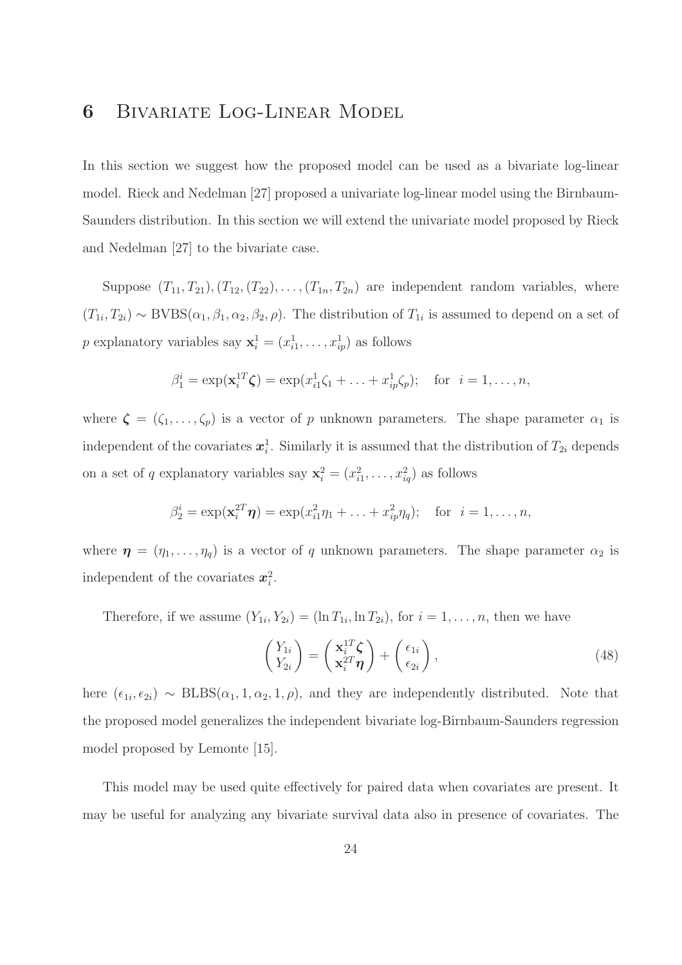# 6 Bivariate Log-Linear Model

In this section we suggest how the proposed model can be used as a bivariate log-linear model. Rieck and Nedelman [27] proposed a univariate log-linear model using the Birnbaum-Saunders distribution. In this section we will extend the univariate model proposed by Rieck and Nedelman [27] to the bivariate case.

Suppose  $(T_{11}, T_{21}), (T_{12}, (T_{22}), \ldots, (T_{1n}, T_{2n})$  are independent random variables, where  $(T_{1i}, T_{2i}) \sim \text{BVBS}(\alpha_1, \beta_1, \alpha_2, \beta_2, \rho)$ . The distribution of  $T_{1i}$  is assumed to depend on a set of p explanatory variables say  $\mathbf{x}_i^1 = (x_{i1}^1, \ldots, x_{ip}^1)$  as follows

$$
\beta_1^i = \exp(\mathbf{x}_i^{1T}\boldsymbol{\zeta}) = \exp(x_{i1}^1\zeta_1 + \ldots + x_{ip}^1\zeta_p); \text{ for } i = 1, \ldots, n,
$$

where  $\boldsymbol{\zeta} = (\zeta_1, \ldots, \zeta_p)$  is a vector of p unknown parameters. The shape parameter  $\alpha_1$  is independent of the covariates  $x_i^1$ . Similarly it is assumed that the distribution of  $T_{2i}$  depends on a set of q explanatory variables say  $\mathbf{x}_i^2 = (x_{i1}^2, \dots, x_{iq}^2)$  as follows

$$
\beta_2^i = \exp(\mathbf{x}_i^{2T}\boldsymbol{\eta}) = \exp(x_{i1}^2\eta_1 + ... + x_{ip}^2\eta_q);
$$
 for  $i = 1,...,n$ ,

where  $\boldsymbol{\eta} = (\eta_1, \dots, \eta_q)$  is a vector of q unknown parameters. The shape parameter  $\alpha_2$  is independent of the covariates  $x_i^2$ .

Therefore, if we assume  $(Y_{1i}, Y_{2i}) = (\ln T_{1i}, \ln T_{2i})$ , for  $i = 1, \ldots, n$ , then we have

$$
\begin{pmatrix} Y_{1i} \\ Y_{2i} \end{pmatrix} = \begin{pmatrix} \mathbf{x}_i^{1T} \boldsymbol{\zeta} \\ \mathbf{x}_i^{2T} \boldsymbol{\eta} \end{pmatrix} + \begin{pmatrix} \epsilon_{1i} \\ \epsilon_{2i} \end{pmatrix},\tag{48}
$$

here  $(\epsilon_{1i}, \epsilon_{2i}) \sim \text{BLBS}(\alpha_1, 1, \alpha_2, 1, \rho)$ , and they are independently distributed. Note that the proposed model generalizes the independent bivariate log-Birnbaum-Saunders regression model proposed by Lemonte [15].

This model may be used quite effectively for paired data when covariates are present. It may be useful for analyzing any bivariate survival data also in presence of covariates. The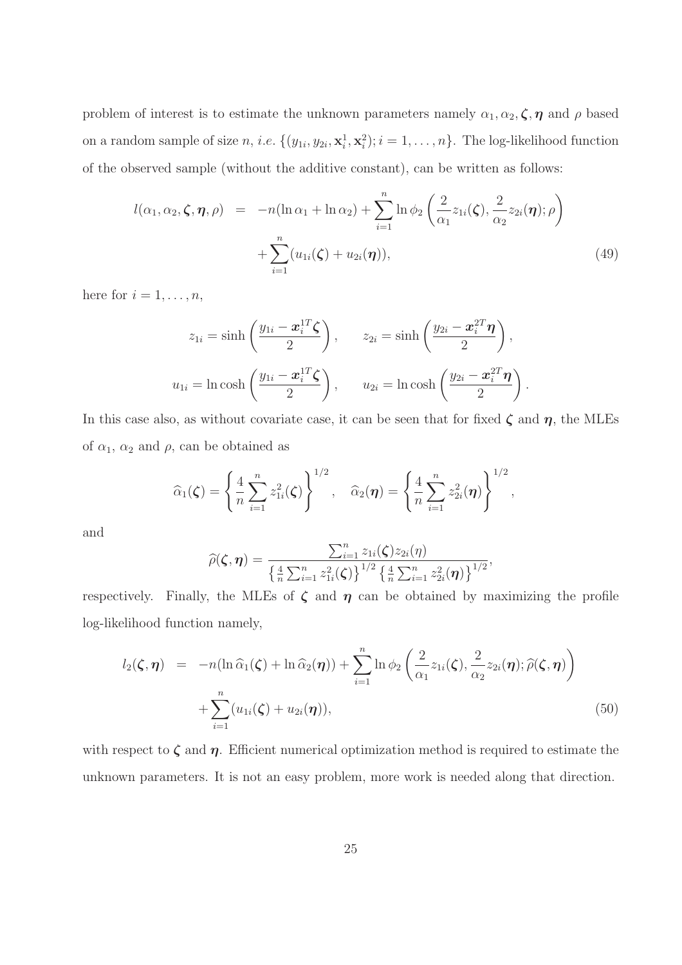problem of interest is to estimate the unknown parameters namely  $\alpha_1, \alpha_2, \zeta, \eta$  and  $\rho$  based on a random sample of size n, i.e.  $\{(y_{1i}, y_{2i}, \mathbf{x}_i^1, \mathbf{x}_i^2); i = 1, \dots, n\}$ . The log-likelihood function of the observed sample (without the additive constant), can be written as follows:

$$
l(\alpha_1, \alpha_2, \zeta, \eta, \rho) = -n(\ln \alpha_1 + \ln \alpha_2) + \sum_{i=1}^n \ln \phi_2 \left( \frac{2}{\alpha_1} z_{1i}(\zeta), \frac{2}{\alpha_2} z_{2i}(\eta); \rho \right) + \sum_{i=1}^n (u_{1i}(\zeta) + u_{2i}(\eta)),
$$
\n(49)

here for  $i = 1, \ldots, n$ ,

$$
z_{1i} = \sinh\left(\frac{y_{1i} - \boldsymbol{x}_i^{1T}\boldsymbol{\zeta}}{2}\right), \qquad z_{2i} = \sinh\left(\frac{y_{2i} - \boldsymbol{x}_i^{2T}\boldsymbol{\eta}}{2}\right),
$$

$$
u_{1i} = \ln\cosh\left(\frac{y_{1i} - \boldsymbol{x}_i^{1T}\boldsymbol{\zeta}}{2}\right), \qquad u_{2i} = \ln\cosh\left(\frac{y_{2i} - \boldsymbol{x}_i^{2T}\boldsymbol{\eta}}{2}\right).
$$

In this case also, as without covariate case, it can be seen that for fixed  $\zeta$  and  $\eta$ , the MLEs of  $\alpha_1$ ,  $\alpha_2$  and  $\rho$ , can be obtained as

$$
\widehat{\alpha}_1(\zeta) = \left\{ \frac{4}{n} \sum_{i=1}^n z_{1i}^2(\zeta) \right\}^{1/2}, \quad \widehat{\alpha}_2(\eta) = \left\{ \frac{4}{n} \sum_{i=1}^n z_{2i}^2(\eta) \right\}^{1/2},
$$

and

$$
\widehat{\rho}(\boldsymbol{\zeta},\boldsymbol{\eta}) = \frac{\sum_{i=1}^{n} z_{1i}(\boldsymbol{\zeta}) z_{2i}(\boldsymbol{\eta})}{\left\{\frac{4}{n} \sum_{i=1}^{n} z_{1i}^{2}(\boldsymbol{\zeta})\right\}^{1/2} \left\{\frac{4}{n} \sum_{i=1}^{n} z_{2i}^{2}(\boldsymbol{\eta})\right\}^{1/2}},
$$

respectively. Finally, the MLEs of  $\zeta$  and  $\eta$  can be obtained by maximizing the profile log-likelihood function namely,

$$
l_2(\boldsymbol{\zeta},\boldsymbol{\eta}) = -n(\ln \widehat{\alpha}_1(\boldsymbol{\zeta}) + \ln \widehat{\alpha}_2(\boldsymbol{\eta})) + \sum_{i=1}^n \ln \phi_2\left(\frac{2}{\alpha_1} z_{1i}(\boldsymbol{\zeta}), \frac{2}{\alpha_2} z_{2i}(\boldsymbol{\eta}); \widehat{\rho}(\boldsymbol{\zeta},\boldsymbol{\eta})\right) + \sum_{i=1}^n (u_{1i}(\boldsymbol{\zeta}) + u_{2i}(\boldsymbol{\eta})),
$$
\n(50)

with respect to  $\zeta$  and  $\eta$ . Efficient numerical optimization method is required to estimate the unknown parameters. It is not an easy problem, more work is needed along that direction.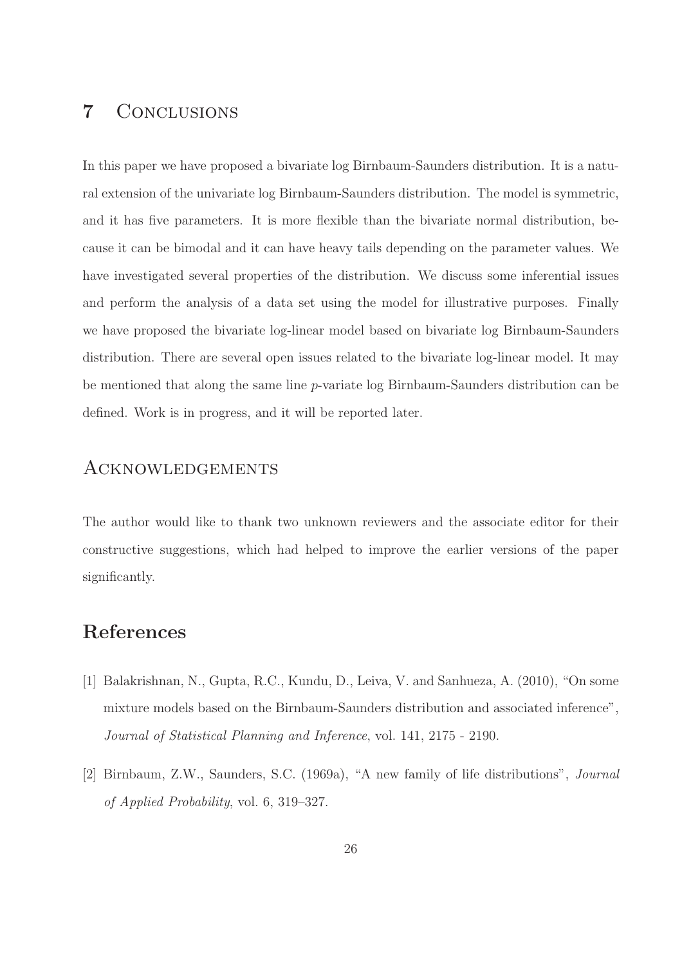# 7 Conclusions

In this paper we have proposed a bivariate log Birnbaum-Saunders distribution. It is a natural extension of the univariate log Birnbaum-Saunders distribution. The model is symmetric, and it has five parameters. It is more flexible than the bivariate normal distribution, because it can be bimodal and it can have heavy tails depending on the parameter values. We have investigated several properties of the distribution. We discuss some inferential issues and perform the analysis of a data set using the model for illustrative purposes. Finally we have proposed the bivariate log-linear model based on bivariate log Birnbaum-Saunders distribution. There are several open issues related to the bivariate log-linear model. It may be mentioned that along the same line p-variate log Birnbaum-Saunders distribution can be defined. Work is in progress, and it will be reported later.

### Acknowledgements

The author would like to thank two unknown reviewers and the associate editor for their constructive suggestions, which had helped to improve the earlier versions of the paper significantly.

# References

- [1] Balakrishnan, N., Gupta, R.C., Kundu, D., Leiva, V. and Sanhueza, A. (2010), "On some mixture models based on the Birnbaum-Saunders distribution and associated inference", Journal of Statistical Planning and Inference, vol. 141, 2175 - 2190.
- [2] Birnbaum, Z.W., Saunders, S.C. (1969a), "A new family of life distributions", Journal of Applied Probability, vol. 6, 319–327.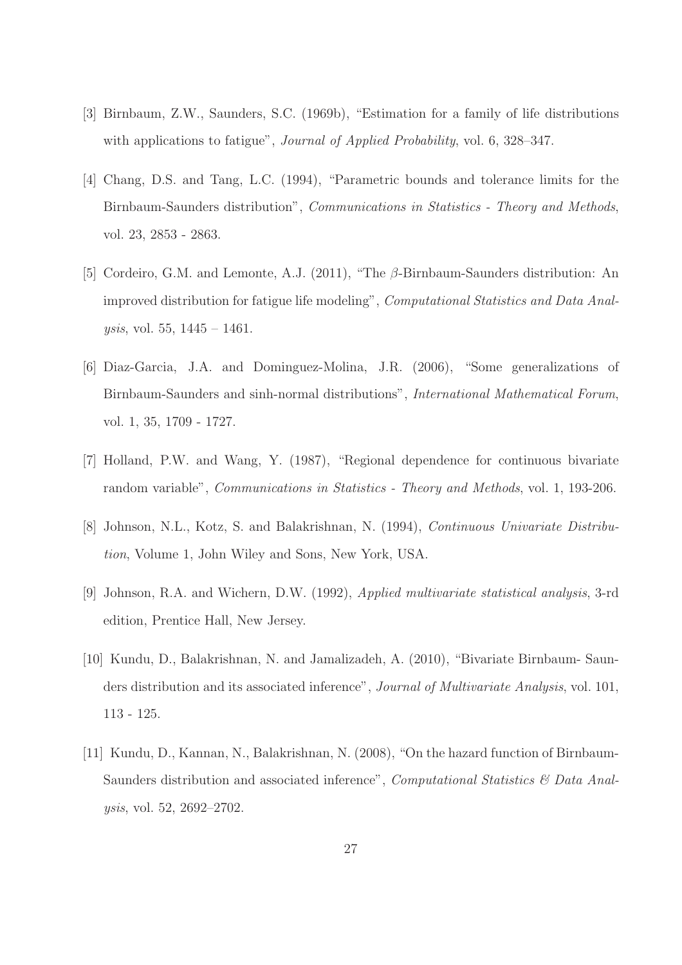- [3] Birnbaum, Z.W., Saunders, S.C. (1969b), "Estimation for a family of life distributions with applications to fatigue", *Journal of Applied Probability*, vol. 6, 328–347.
- [4] Chang, D.S. and Tang, L.C. (1994), "Parametric bounds and tolerance limits for the Birnbaum-Saunders distribution", Communications in Statistics - Theory and Methods, vol. 23, 2853 - 2863.
- [5] Cordeiro, G.M. and Lemonte, A.J. (2011), "The β-Birnbaum-Saunders distribution: An improved distribution for fatigue life modeling", Computational Statistics and Data Analysis, vol. 55, 1445 – 1461.
- [6] Diaz-Garcia, J.A. and Dominguez-Molina, J.R. (2006), "Some generalizations of Birnbaum-Saunders and sinh-normal distributions", International Mathematical Forum, vol. 1, 35, 1709 - 1727.
- [7] Holland, P.W. and Wang, Y. (1987), "Regional dependence for continuous bivariate random variable", Communications in Statistics - Theory and Methods, vol. 1, 193-206.
- [8] Johnson, N.L., Kotz, S. and Balakrishnan, N. (1994), Continuous Univariate Distribution, Volume 1, John Wiley and Sons, New York, USA.
- [9] Johnson, R.A. and Wichern, D.W. (1992), Applied multivariate statistical analysis, 3-rd edition, Prentice Hall, New Jersey.
- [10] Kundu, D., Balakrishnan, N. and Jamalizadeh, A. (2010), "Bivariate Birnbaum- Saunders distribution and its associated inference", *Journal of Multivariate Analysis*, vol. 101, 113 - 125.
- [11] Kundu, D., Kannan, N., Balakrishnan, N. (2008), "On the hazard function of Birnbaum-Saunders distribution and associated inference", *Computational Statistics*  $\&$  Data Analysis, vol. 52, 2692–2702.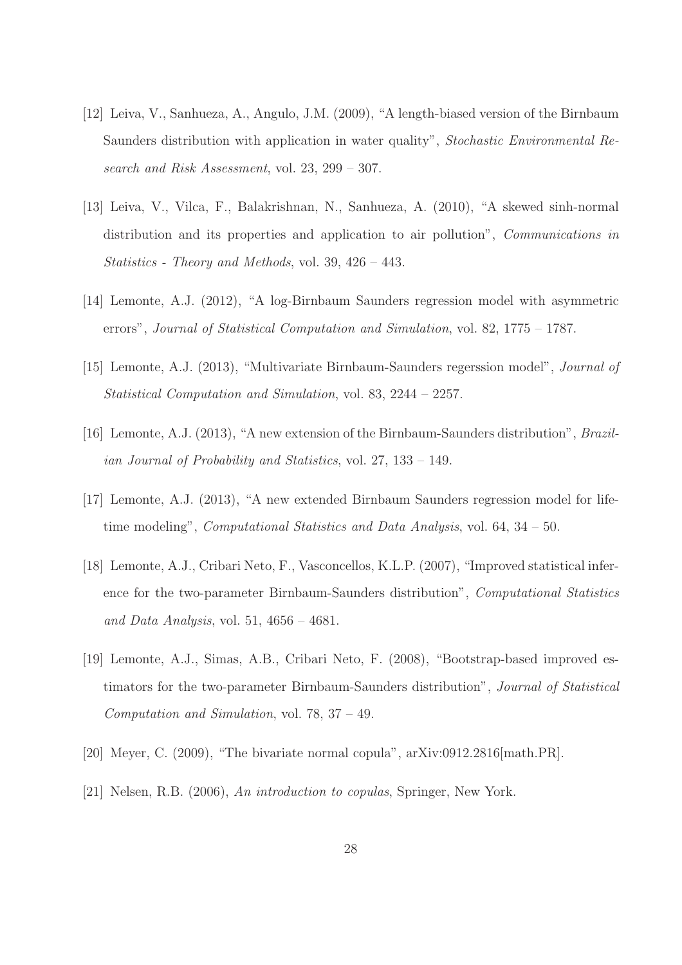- [12] Leiva, V., Sanhueza, A., Angulo, J.M. (2009), "A length-biased version of the Birnbaum Saunders distribution with application in water quality", Stochastic Environmental Research and Risk Assessment, vol. 23, 299 – 307.
- [13] Leiva, V., Vilca, F., Balakrishnan, N., Sanhueza, A. (2010), "A skewed sinh-normal distribution and its properties and application to air pollution", Communications in Statistics - Theory and Methods, vol. 39, 426 – 443.
- [14] Lemonte, A.J. (2012), "A log-Birnbaum Saunders regression model with asymmetric errors", Journal of Statistical Computation and Simulation, vol. 82, 1775 – 1787.
- [15] Lemonte, A.J. (2013), "Multivariate Birnbaum-Saunders regerssion model", Journal of Statistical Computation and Simulation, vol. 83, 2244 – 2257.
- [16] Lemonte, A.J. (2013), "A new extension of the Birnbaum-Saunders distribution", Brazilian Journal of Probability and Statistics, vol. 27, 133 – 149.
- [17] Lemonte, A.J. (2013), "A new extended Birnbaum Saunders regression model for lifetime modeling", *Computational Statistics and Data Analysis*, vol. 64, 34 – 50.
- [18] Lemonte, A.J., Cribari Neto, F., Vasconcellos, K.L.P. (2007), "Improved statistical inference for the two-parameter Birnbaum-Saunders distribution", Computational Statistics and Data Analysis, vol. 51,  $4656 - 4681$ .
- [19] Lemonte, A.J., Simas, A.B., Cribari Neto, F. (2008), "Bootstrap-based improved estimators for the two-parameter Birnbaum-Saunders distribution", Journal of Statistical Computation and Simulation, vol. 78, 37 – 49.
- [20] Meyer, C. (2009), "The bivariate normal copula", arXiv:0912.2816[math.PR].
- [21] Nelsen, R.B. (2006), An introduction to copulas, Springer, New York.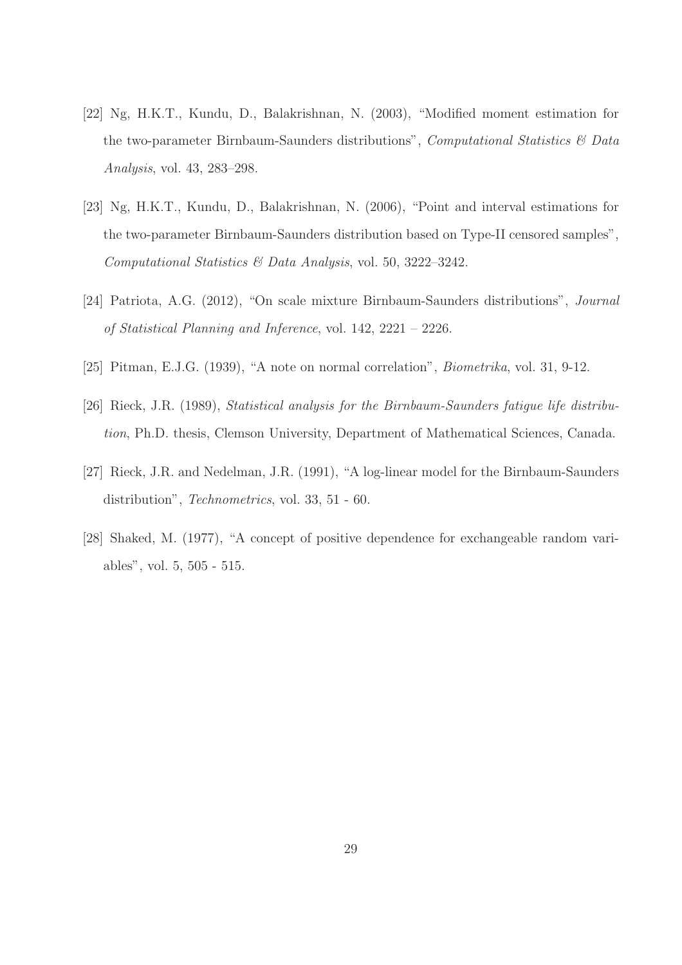- [22] Ng, H.K.T., Kundu, D., Balakrishnan, N. (2003), "Modified moment estimation for the two-parameter Birnbaum-Saunders distributions", *Computational Statistics*  $\&$  Data Analysis, vol. 43, 283–298.
- [23] Ng, H.K.T., Kundu, D., Balakrishnan, N. (2006), "Point and interval estimations for the two-parameter Birnbaum-Saunders distribution based on Type-II censored samples", Computational Statistics & Data Analysis, vol. 50, 3222–3242.
- [24] Patriota, A.G. (2012), "On scale mixture Birnbaum-Saunders distributions", Journal of Statistical Planning and Inference, vol. 142, 2221 – 2226.
- [25] Pitman, E.J.G. (1939), "A note on normal correlation", Biometrika, vol. 31, 9-12.
- [26] Rieck, J.R. (1989), Statistical analysis for the Birnbaum-Saunders fatigue life distribution, Ph.D. thesis, Clemson University, Department of Mathematical Sciences, Canada.
- [27] Rieck, J.R. and Nedelman, J.R. (1991), "A log-linear model for the Birnbaum-Saunders distribution", Technometrics, vol. 33, 51 - 60.
- [28] Shaked, M. (1977), "A concept of positive dependence for exchangeable random variables", vol. 5, 505 - 515.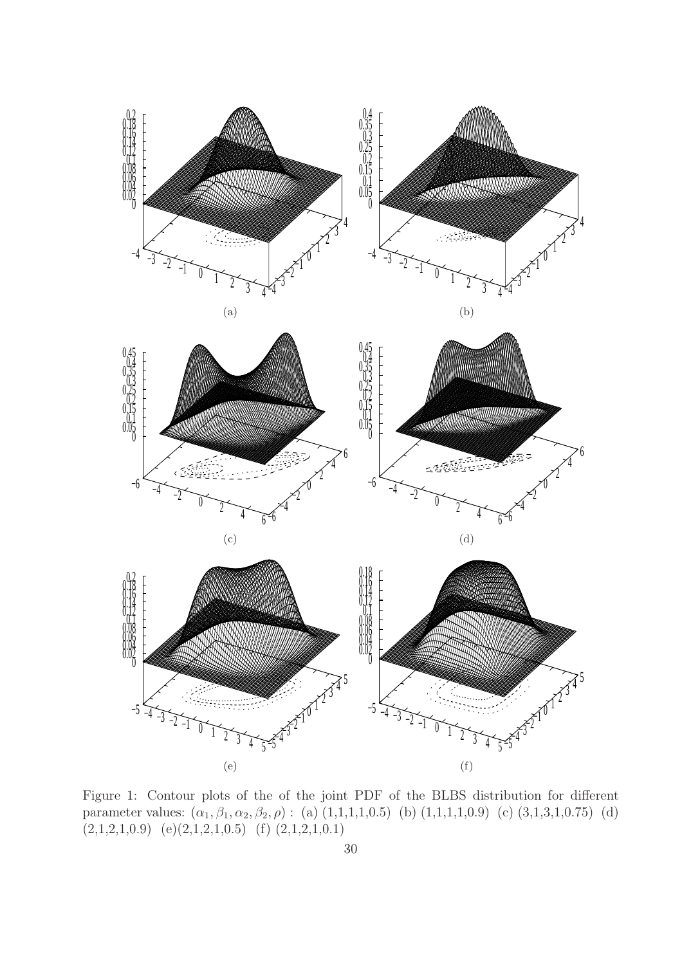

Figure 1: Contour plots of the of the joint PDF of the BLBS distribution for different parameter values:  $(\alpha_1, \beta_1, \alpha_2, \beta_2, \rho)$ : (a)  $(1,1,1,1,0.5)$  (b)  $(1,1,1,1,0.9)$  (c)  $(3,1,3,1,0.75)$  (d)  $(2,1,2,1,0.9)$   $(e)(2,1,2,1,0.5)$   $(f)(2,1,2,1,0.1)$